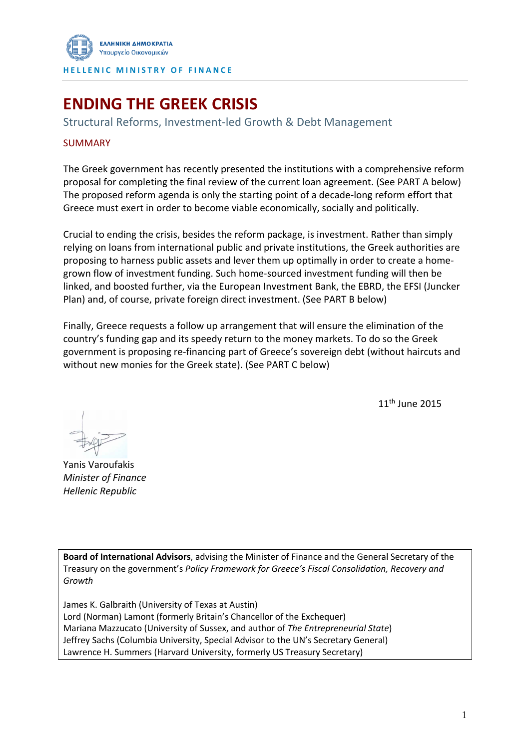

# **ENDING THE GREEK CRISIS**

Structural Reforms, Investment-led Growth & Debt Management

#### SUMMARY

The Greek government has recently presented the institutions with a comprehensive reform proposal for completing the final review of the current loan agreement. (See PART A below) The proposed reform agenda is only the starting point of a decade-long reform effort that Greece must exert in order to become viable economically, socially and politically.

Crucial to ending the crisis, besides the reform package, is investment. Rather than simply relying on loans from international public and private institutions, the Greek authorities are proposing to harness public assets and lever them up optimally in order to create a homegrown flow of investment funding. Such home-sourced investment funding will then be linked, and boosted further, via the European Investment Bank, the EBRD, the EFSI (Juncker Plan) and, of course, private foreign direct investment. (See PART B below)

Finally, Greece requests a follow up arrangement that will ensure the elimination of the country's funding gap and its speedy return to the money markets. To do so the Greek government is proposing re-financing part of Greece's sovereign debt (without haircuts and without new monies for the Greek state). (See PART C below)

11th June 2015

Yanis Varoufakis *Minister of Finance Hellenic Republic*

**Board of International Advisors**, advising the Minister of Finance and the General Secretary of the Treasury on the government's *Policy Framework for Greece's Fiscal Consolidation, Recovery and Growth*

James K. Galbraith (University of Texas at Austin) Lord (Norman) Lamont (formerly Britain's Chancellor of the Exchequer) Mariana Mazzucato (University of Sussex, and author of *The Entrepreneurial State*) Jeffrey Sachs (Columbia University, Special Advisor to the UN's Secretary General) Lawrence H. Summers (Harvard University, formerly US Treasury Secretary)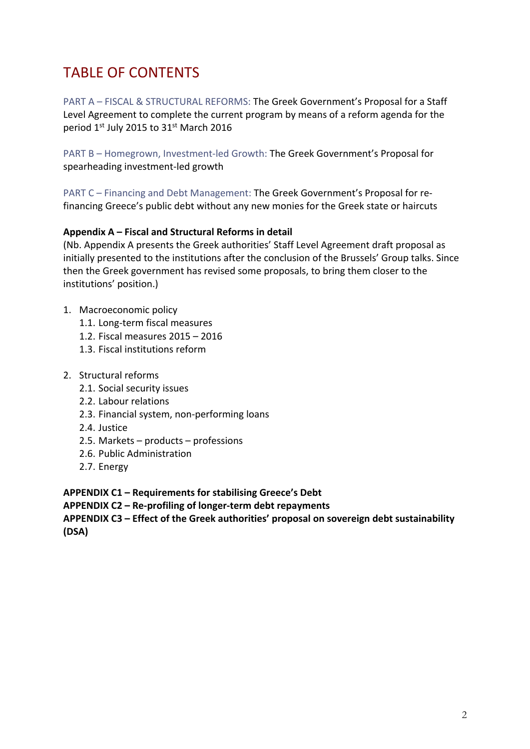# TABLE OF CONTENTS

PART A – FISCAL & STRUCTURAL REFORMS: The Greek Government's Proposal for a Staff Level Agreement to complete the current program by means of a reform agenda for the period 1st July 2015 to 31st March 2016

PART B – Homegrown, Investment-led Growth: The Greek Government's Proposal for spearheading investment-led growth

PART C – Financing and Debt Management: The Greek Government's Proposal for refinancing Greece's public debt without any new monies for the Greek state or haircuts

#### **Appendix A – Fiscal and Structural Reforms in detail**

(Nb. Appendix A presents the Greek authorities' Staff Level Agreement draft proposal as initially presented to the institutions after the conclusion of the Brussels' Group talks. Since then the Greek government has revised some proposals, to bring them closer to the institutions' position.)

- 1. Macroeconomic policy
	- 1.1. Long-term fiscal measures
	- 1.2. Fiscal measures 2015 2016
	- 1.3. Fiscal institutions reform
- 2. Structural reforms
	- 2.1. Social security issues
	- 2.2. Labour relations
	- 2.3. Financial system, non-performing loans
	- 2.4. Justice
	- 2.5. Markets products professions
	- 2.6. Public Administration
	- 2.7. Energy

**APPENDIX C1 – Requirements for stabilising Greece's Debt**

**APPENDIX C2 – Re-profiling of longer-term debt repayments** 

**APPENDIX C3 – Effect of the Greek authorities' proposal on sovereign debt sustainability (DSA)**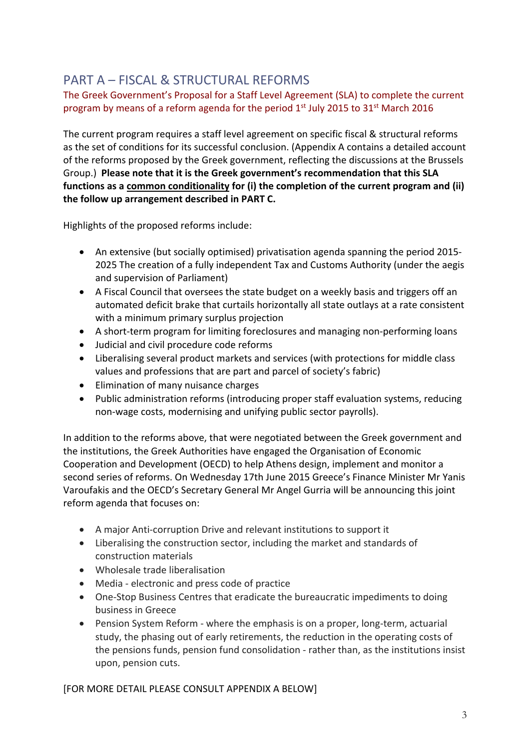## PART A – FISCAL & STRUCTURAL REFORMS

The Greek Government's Proposal for a Staff Level Agreement (SLA) to complete the current program by means of a reform agenda for the period  $1<sup>st</sup>$  July 2015 to 31 $<sup>st</sup>$  March 2016</sup>

The current program requires a staff level agreement on specific fiscal & structural reforms as the set of conditions for its successful conclusion. (Appendix A contains a detailed account of the reforms proposed by the Greek government, reflecting the discussions at the Brussels Group.) **Please note that it is the Greek government's recommendation that this SLA functions as a common conditionality for (i) the completion of the current program and (ii) the follow up arrangement described in PART C.**

Highlights of the proposed reforms include:

- An extensive (but socially optimised) privatisation agenda spanning the period 2015- 2025 The creation of a fully independent Tax and Customs Authority (under the aegis and supervision of Parliament)
- A Fiscal Council that oversees the state budget on a weekly basis and triggers off an automated deficit brake that curtails horizontally all state outlays at a rate consistent with a minimum primary surplus projection
- A short-term program for limiting foreclosures and managing non-performing loans
- Judicial and civil procedure code reforms
- Liberalising several product markets and services (with protections for middle class values and professions that are part and parcel of society's fabric)
- Elimination of many nuisance charges
- Public administration reforms (introducing proper staff evaluation systems, reducing non-wage costs, modernising and unifying public sector payrolls).

In addition to the reforms above, that were negotiated between the Greek government and the institutions, the Greek Authorities have engaged the Organisation of Economic Cooperation and Development (OECD) to help Athens design, implement and monitor a second series of reforms. On Wednesday 17th June 2015 Greece's Finance Minister Mr Yanis Varoufakis and the OECD's Secretary General Mr Angel Gurria will be announcing this joint reform agenda that focuses on:

- A major Anti-corruption Drive and relevant institutions to support it
- Liberalising the construction sector, including the market and standards of construction materials
- Wholesale trade liberalisation
- Media electronic and press code of practice
- One-Stop Business Centres that eradicate the bureaucratic impediments to doing business in Greece
- Pension System Reform where the emphasis is on a proper, long-term, actuarial study, the phasing out of early retirements, the reduction in the operating costs of the pensions funds, pension fund consolidation - rather than, as the institutions insist upon, pension cuts.

[FOR MORE DETAIL PLEASE CONSULT APPENDIX A BELOW]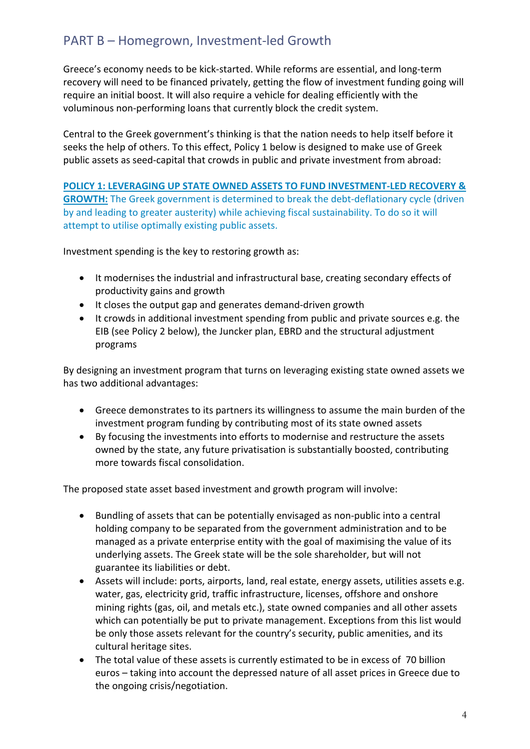## PART B – Homegrown, Investment-led Growth

Greece's economy needs to be kick-started. While reforms are essential, and long-term recovery will need to be financed privately, getting the flow of investment funding going will require an initial boost. It will also require a vehicle for dealing efficiently with the voluminous non-performing loans that currently block the credit system.

Central to the Greek government's thinking is that the nation needs to help itself before it seeks the help of others. To this effect, Policy 1 below is designed to make use of Greek public assets as seed-capital that crowds in public and private investment from abroad:

**POLICY 1: LEVERAGING UP STATE OWNED ASSETS TO FUND INVESTMENT-LED RECOVERY & GROWTH:** The Greek government is determined to break the debt-deflationary cycle (driven by and leading to greater austerity) while achieving fiscal sustainability. To do so it will attempt to utilise optimally existing public assets.

Investment spending is the key to restoring growth as:

- It modernises the industrial and infrastructural base, creating secondary effects of productivity gains and growth
- It closes the output gap and generates demand-driven growth
- It crowds in additional investment spending from public and private sources e.g. the EIB (see Policy 2 below), the Juncker plan, EBRD and the structural adjustment programs

By designing an investment program that turns on leveraging existing state owned assets we has two additional advantages:

- Greece demonstrates to its partners its willingness to assume the main burden of the investment program funding by contributing most of its state owned assets
- By focusing the investments into efforts to modernise and restructure the assets owned by the state, any future privatisation is substantially boosted, contributing more towards fiscal consolidation.

The proposed state asset based investment and growth program will involve:

- Bundling of assets that can be potentially envisaged as non-public into a central holding company to be separated from the government administration and to be managed as a private enterprise entity with the goal of maximising the value of its underlying assets. The Greek state will be the sole shareholder, but will not guarantee its liabilities or debt.
- Assets will include: ports, airports, land, real estate, energy assets, utilities assets e.g. water, gas, electricity grid, traffic infrastructure, licenses, offshore and onshore mining rights (gas, oil, and metals etc.), state owned companies and all other assets which can potentially be put to private management. Exceptions from this list would be only those assets relevant for the country's security, public amenities, and its cultural heritage sites.
- The total value of these assets is currently estimated to be in excess of 70 billion euros – taking into account the depressed nature of all asset prices in Greece due to the ongoing crisis/negotiation.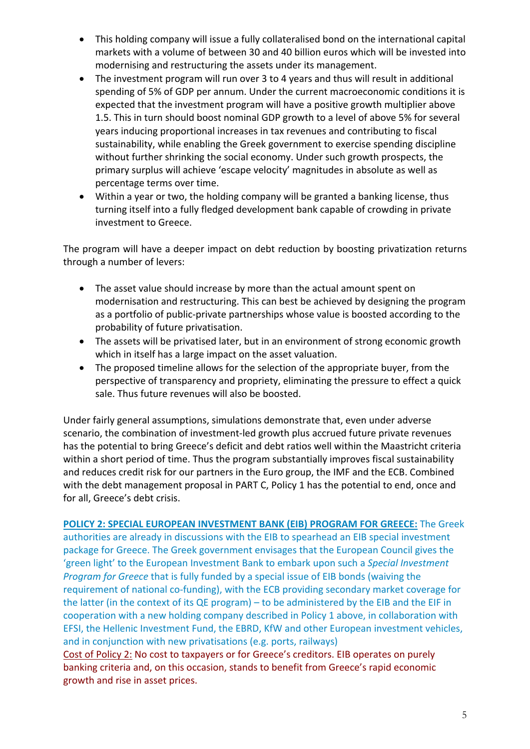- This holding company will issue a fully collateralised bond on the international capital markets with a volume of between 30 and 40 billion euros which will be invested into modernising and restructuring the assets under its management.
- The investment program will run over 3 to 4 years and thus will result in additional spending of 5% of GDP per annum. Under the current macroeconomic conditions it is expected that the investment program will have a positive growth multiplier above 1.5. This in turn should boost nominal GDP growth to a level of above 5% for several years inducing proportional increases in tax revenues and contributing to fiscal sustainability, while enabling the Greek government to exercise spending discipline without further shrinking the social economy. Under such growth prospects, the primary surplus will achieve 'escape velocity' magnitudes in absolute as well as percentage terms over time.
- Within a year or two, the holding company will be granted a banking license, thus turning itself into a fully fledged development bank capable of crowding in private investment to Greece.

The program will have a deeper impact on debt reduction by boosting privatization returns through a number of levers:

- The asset value should increase by more than the actual amount spent on modernisation and restructuring. This can best be achieved by designing the program as a portfolio of public-private partnerships whose value is boosted according to the probability of future privatisation.
- The assets will be privatised later, but in an environment of strong economic growth which in itself has a large impact on the asset valuation.
- The proposed timeline allows for the selection of the appropriate buyer, from the perspective of transparency and propriety, eliminating the pressure to effect a quick sale. Thus future revenues will also be boosted.

Under fairly general assumptions, simulations demonstrate that, even under adverse scenario, the combination of investment-led growth plus accrued future private revenues has the potential to bring Greece's deficit and debt ratios well within the Maastricht criteria within a short period of time. Thus the program substantially improves fiscal sustainability and reduces credit risk for our partners in the Euro group, the IMF and the ECB. Combined with the debt management proposal in PART C, Policy 1 has the potential to end, once and for all, Greece's debt crisis.

**POLICY 2: SPECIAL EUROPEAN INVESTMENT BANK (EIB) PROGRAM FOR GREECE:** The Greek authorities are already in discussions with the EIB to spearhead an EIB special investment package for Greece. The Greek government envisages that the European Council gives the 'green light' to the European Investment Bank to embark upon such a *Special Investment Program for Greece* that is fully funded by a special issue of EIB bonds (waiving the requirement of national co-funding), with the ECB providing secondary market coverage for the latter (in the context of its QE program) – to be administered by the EIB and the EIF in cooperation with a new holding company described in Policy 1 above, in collaboration with EFSI, the Hellenic Investment Fund, the EBRD, KfW and other European investment vehicles, and in conjunction with new privatisations (e.g. ports, railways)

Cost of Policy 2: No cost to taxpayers or for Greece's creditors. EIB operates on purely banking criteria and, on this occasion, stands to benefit from Greece's rapid economic growth and rise in asset prices.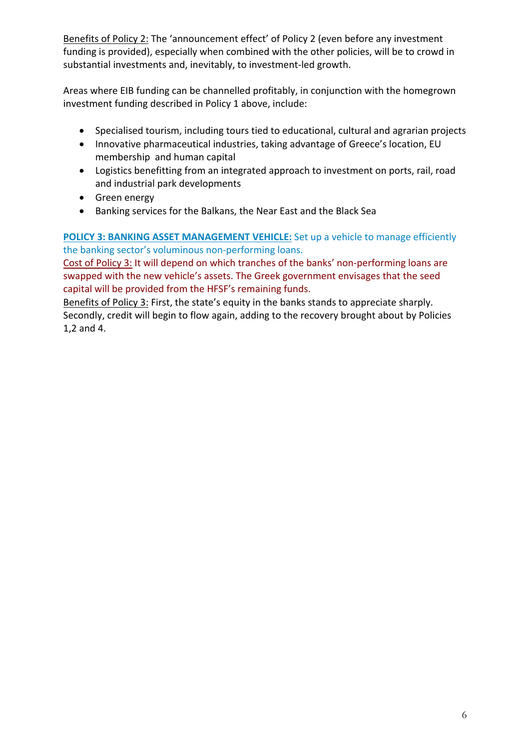Benefits of Policy 2: The 'announcement effect' of Policy 2 (even before any investment funding is provided), especially when combined with the other policies, will be to crowd in substantial investments and, inevitably, to investment-led growth.

Areas where EIB funding can be channelled profitably, in conjunction with the homegrown investment funding described in Policy 1 above, include:

- Specialised tourism, including tours tied to educational, cultural and agrarian projects
- Innovative pharmaceutical industries, taking advantage of Greece's location, EU membership and human capital
- Logistics benefitting from an integrated approach to investment on ports, rail, road and industrial park developments
- Green energy
- Banking services for the Balkans, the Near East and the Black Sea

**POLICY 3: BANKING ASSET MANAGEMENT VEHICLE:** Set up a vehicle to manage efficiently the banking sector's voluminous non-performing loans.

Cost of Policy 3: It will depend on which tranches of the banks' non-performing loans are swapped with the new vehicle's assets. The Greek government envisages that the seed capital will be provided from the HFSF's remaining funds.

Benefits of Policy 3: First, the state's equity in the banks stands to appreciate sharply. Secondly, credit will begin to flow again, adding to the recovery brought about by Policies 1,2 and 4.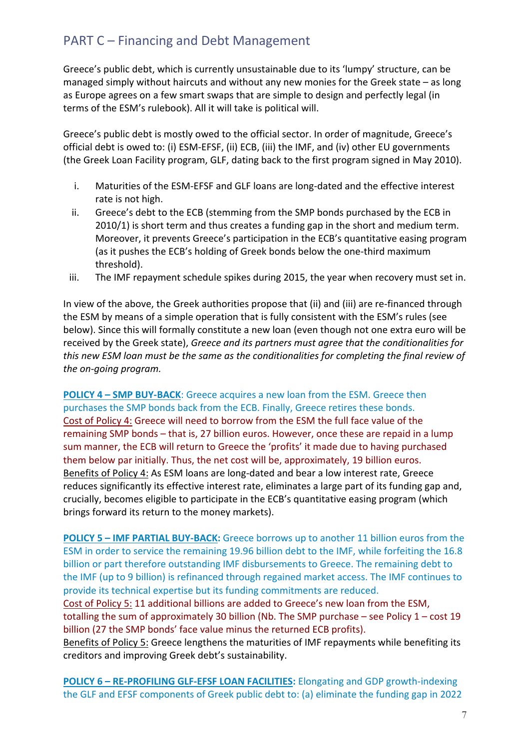## PART C – Financing and Debt Management

Greece's public debt, which is currently unsustainable due to its 'lumpy' structure, can be managed simply without haircuts and without any new monies for the Greek state – as long as Europe agrees on a few smart swaps that are simple to design and perfectly legal (in terms of the ESM's rulebook). All it will take is political will.

Greece's public debt is mostly owed to the official sector. In order of magnitude, Greece's official debt is owed to: (i) ESM-EFSF, (ii) ECB, (iii) the IMF, and (iv) other EU governments (the Greek Loan Facility program, GLF, dating back to the first program signed in May 2010).

- i. Maturities of the ESM-EFSF and GLF loans are long-dated and the effective interest rate is not high.
- ii. Greece's debt to the ECB (stemming from the SMP bonds purchased by the ECB in 2010/1) is short term and thus creates a funding gap in the short and medium term. Moreover, it prevents Greece's participation in the ECB's quantitative easing program (as it pushes the ECB's holding of Greek bonds below the one-third maximum threshold).
- iii. The IMF repayment schedule spikes during 2015, the year when recovery must set in.

In view of the above, the Greek authorities propose that (ii) and (iii) are re-financed through the ESM by means of a simple operation that is fully consistent with the ESM's rules (see below). Since this will formally constitute a new loan (even though not one extra euro will be received by the Greek state), *Greece and its partners must agree that the conditionalities for this new ESM loan must be the same as the conditionalities for completing the final review of the on-going program.*

**POLICY 4 – SMP BUY-BACK**: Greece acquires a new loan from the ESM. Greece then purchases the SMP bonds back from the ECB. Finally, Greece retires these bonds. Cost of Policy 4: Greece will need to borrow from the ESM the full face value of the remaining SMP bonds – that is, 27 billion euros. However, once these are repaid in a lump sum manner, the ECB will return to Greece the 'profits' it made due to having purchased them below par initially. Thus, the net cost will be, approximately, 19 billion euros. Benefits of Policy 4: As ESM loans are long-dated and bear a low interest rate, Greece reduces significantly its effective interest rate, eliminates a large part of its funding gap and, crucially, becomes eligible to participate in the ECB's quantitative easing program (which brings forward its return to the money markets).

**POLICY 5 – IMF PARTIAL BUY-BACK:** Greece borrows up to another 11 billion euros from the ESM in order to service the remaining 19.96 billion debt to the IMF, while forfeiting the 16.8 billion or part therefore outstanding IMF disbursements to Greece. The remaining debt to the IMF (up to 9 billion) is refinanced through regained market access. The IMF continues to provide its technical expertise but its funding commitments are reduced. Cost of Policy 5: 11 additional billions are added to Greece's new loan from the ESM, totalling the sum of approximately 30 billion (Nb. The SMP purchase – see Policy  $1 - \text{cost } 19$ billion (27 the SMP bonds' face value minus the returned ECB profits).

Benefits of Policy 5: Greece lengthens the maturities of IMF repayments while benefiting its creditors and improving Greek debt's sustainability.

**POLICY 6 – RE-PROFILING GLF-EFSF LOAN FACILITIES:** Elongating and GDP growth-indexing the GLF and EFSF components of Greek public debt to: (a) eliminate the funding gap in 2022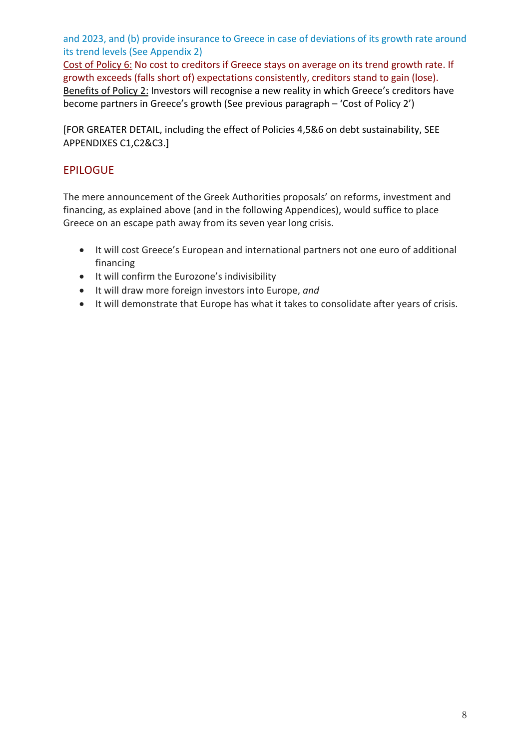and 2023, and (b) provide insurance to Greece in case of deviations of its growth rate around its trend levels (See Appendix 2)

Cost of Policy 6: No cost to creditors if Greece stays on average on its trend growth rate. If growth exceeds (falls short of) expectations consistently, creditors stand to gain (lose). Benefits of Policy 2: Investors will recognise a new reality in which Greece's creditors have become partners in Greece's growth (See previous paragraph – 'Cost of Policy 2')

[FOR GREATER DETAIL, including the effect of Policies 4,5&6 on debt sustainability, SEE APPENDIXES C1,C2&C3.]

## EPILOGUE

The mere announcement of the Greek Authorities proposals' on reforms, investment and financing, as explained above (and in the following Appendices), would suffice to place Greece on an escape path away from its seven year long crisis.

- It will cost Greece's European and international partners not one euro of additional financing
- It will confirm the Eurozone's indivisibility
- It will draw more foreign investors into Europe, *and*
- It will demonstrate that Europe has what it takes to consolidate after years of crisis.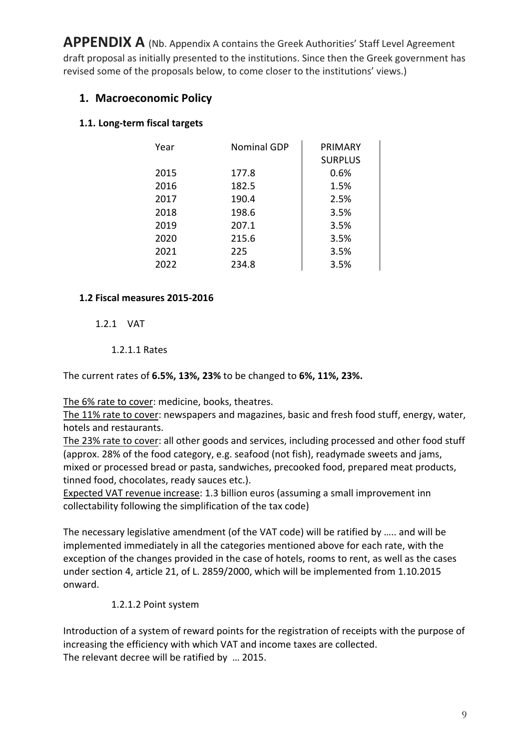**APPENDIX A** (Nb. Appendix A contains the Greek Authorities' Staff Level Agreement draft proposal as initially presented to the institutions. Since then the Greek government has revised some of the proposals below, to come closer to the institutions' views.)

## **1. Macroeconomic Policy**

## **1.1. Long-term fiscal targets**

| Year | <b>Nominal GDP</b> | <b>PRIMARY</b> |
|------|--------------------|----------------|
|      |                    | <b>SURPLUS</b> |
| 2015 | 177.8              | 0.6%           |
| 2016 | 182.5              | 1.5%           |
| 2017 | 190.4              | 2.5%           |
| 2018 | 198.6              | 3.5%           |
| 2019 | 207.1              | 3.5%           |
| 2020 | 215.6              | 3.5%           |
| 2021 | 225                | 3.5%           |
| 2022 | 234.8              | 3.5%           |

#### **1.2 Fiscal measures 2015-2016**

#### 1.2.1 VAT

### 1.2.1.1 Rates

The current rates of **6.5%, 13%, 23%** to be changed to **6%, 11%, 23%.**

The 6% rate to cover: medicine, books, theatres.

The 11% rate to cover: newspapers and magazines, basic and fresh food stuff, energy, water, hotels and restaurants.

The 23% rate to cover: all other goods and services, including processed and other food stuff (approx. 28% of the food category, e.g. seafood (not fish), readymade sweets and jams, mixed or processed bread or pasta, sandwiches, precooked food, prepared meat products, tinned food, chocolates, ready sauces etc.).

Expected VAT revenue increase: 1.3 billion euros (assuming a small improvement inn collectability following the simplification of the tax code)

The necessary legislative amendment (of the VAT code) will be ratified by ….. and will be implemented immediately in all the categories mentioned above for each rate, with the exception of the changes provided in the case of hotels, rooms to rent, as well as the cases under section 4, article 21, of L. 2859/2000, which will be implemented from 1.10.2015 onward.

#### 1.2.1.2 Point system

Introduction of a system of reward points for the registration of receipts with the purpose of increasing the efficiency with which VAT and income taxes are collected. The relevant decree will be ratified by … 2015.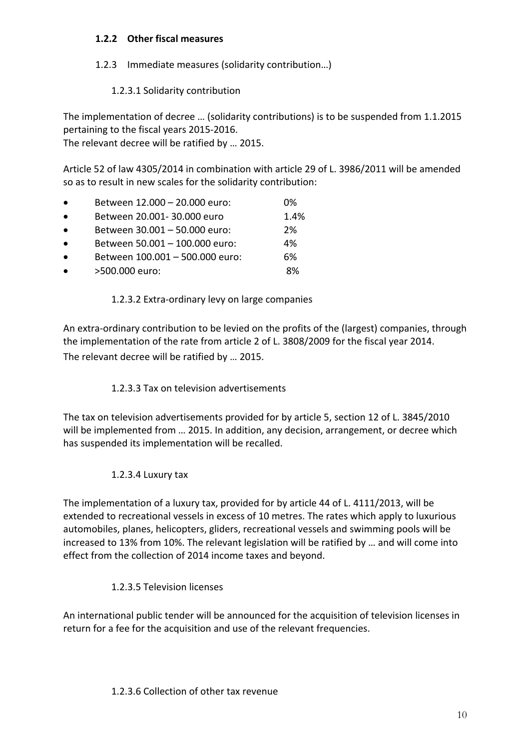#### **1.2.2 Other fiscal measures**

## 1.2.3 Immediate measures (solidarity contribution…)

## 1.2.3.1 Solidarity contribution

The implementation of decree … (solidarity contributions) is to be suspended from 1.1.2015 pertaining to the fiscal years 2015-2016.

The relevant decree will be ratified by … 2015.

Article 52 of law 4305/2014 in combination with article 29 of L. 3986/2011 will be amended so as to result in new scales for the solidarity contribution:

- Between 12.000 20.000 euro: 0%
- Between 20.001- 30.000 euro 1.4% • Between 30.001 – 50.000 euro: 2%
- Between 50.001 100.000 euro: 4%
- Between 100.001 500.000 euro: 6%
- >500.000 euro: 8%

## 1.2.3.2 Extra-ordinary levy on large companies

An extra-ordinary contribution to be levied on the profits of the (largest) companies, through the implementation of the rate from article 2 of L. 3808/2009 for the fiscal year 2014. The relevant decree will be ratified by … 2015.

## 1.2.3.3 Tax on television advertisements

The tax on television advertisements provided for by article 5, section 12 of L. 3845/2010 will be implemented from … 2015. In addition, any decision, arrangement, or decree which has suspended its implementation will be recalled.

## 1.2.3.4 Luxury tax

The implementation of a luxury tax, provided for by article 44 of L. 4111/2013, will be extended to recreational vessels in excess of 10 metres. The rates which apply to luxurious automobiles, planes, helicopters, gliders, recreational vessels and swimming pools will be increased to 13% from 10%. The relevant legislation will be ratified by … and will come into effect from the collection of 2014 income taxes and beyond.

## 1.2.3.5 Television licenses

An international public tender will be announced for the acquisition of television licenses in return for a fee for the acquisition and use of the relevant frequencies.

## 1.2.3.6 Collection of other tax revenue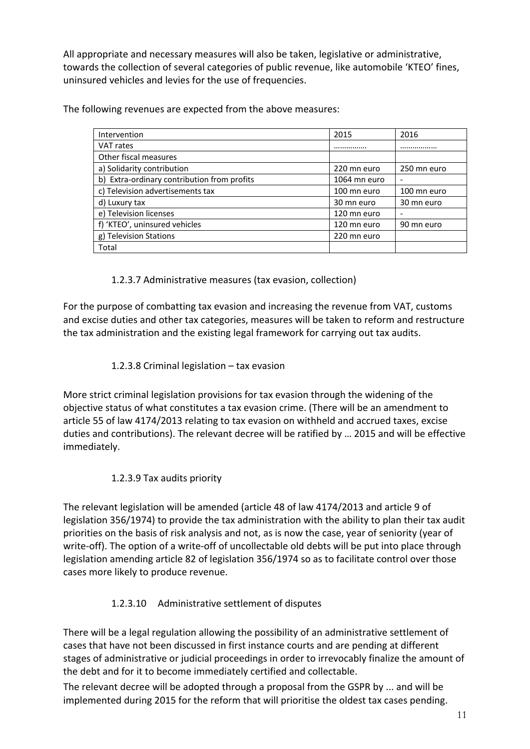All appropriate and necessary measures will also be taken, legislative or administrative, towards the collection of several categories of public revenue, like automobile 'KTEO' fines, uninsured vehicles and levies for the use of frequencies.

The following revenues are expected from the above measures:

| Intervention                                | 2015         | 2016        |
|---------------------------------------------|--------------|-------------|
| VAT rates                                   |              |             |
| Other fiscal measures                       |              |             |
| a) Solidarity contribution                  | 220 mn euro  | 250 mn euro |
| b) Extra-ordinary contribution from profits | 1064 mn euro |             |
| c) Television advertisements tax            | 100 mn euro  | 100 mn euro |
| d) Luxury tax                               | 30 mn euro   | 30 mn euro  |
| e) Television licenses                      | 120 mn euro  |             |
| f) 'KTEO', uninsured vehicles               | 120 mn euro  | 90 mn euro  |
| g) Television Stations                      | 220 mn euro  |             |
| Total                                       |              |             |

1.2.3.7 Administrative measures (tax evasion, collection)

For the purpose of combatting tax evasion and increasing the revenue from VAT, customs and excise duties and other tax categories, measures will be taken to reform and restructure the tax administration and the existing legal framework for carrying out tax audits.

1.2.3.8 Criminal legislation – tax evasion

More strict criminal legislation provisions for tax evasion through the widening of the objective status of what constitutes a tax evasion crime. (There will be an amendment to article 55 of law 4174/2013 relating to tax evasion on withheld and accrued taxes, excise duties and contributions). The relevant decree will be ratified by … 2015 and will be effective immediately.

## 1.2.3.9 Tax audits priority

The relevant legislation will be amended (article 48 of law 4174/2013 and article 9 of legislation 356/1974) to provide the tax administration with the ability to plan their tax audit priorities on the basis of risk analysis and not, as is now the case, year of seniority (year of write-off). The option of a write-off of uncollectable old debts will be put into place through legislation amending article 82 of legislation 356/1974 so as to facilitate control over those cases more likely to produce revenue.

## 1.2.3.10 Administrative settlement of disputes

There will be a legal regulation allowing the possibility of an administrative settlement of cases that have not been discussed in first instance courts and are pending at different stages of administrative or judicial proceedings in order to irrevocably finalize the amount of the debt and for it to become immediately certified and collectable.

The relevant decree will be adopted through a proposal from the GSPR by ... and will be implemented during 2015 for the reform that will prioritise the oldest tax cases pending.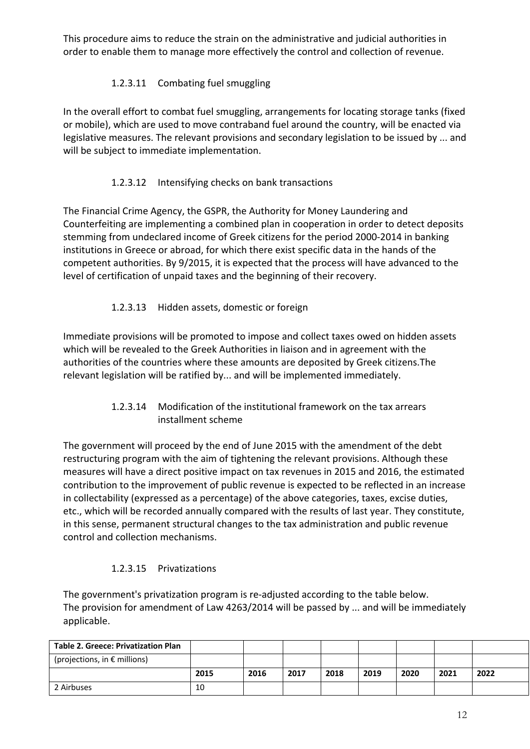This procedure aims to reduce the strain on the administrative and judicial authorities in order to enable them to manage more effectively the control and collection of revenue.

## 1.2.3.11 Combating fuel smuggling

In the overall effort to combat fuel smuggling, arrangements for locating storage tanks (fixed or mobile), which are used to move contraband fuel around the country, will be enacted via legislative measures. The relevant provisions and secondary legislation to be issued by ... and will be subject to immediate implementation.

## 1.2.3.12 Intensifying checks on bank transactions

The Financial Crime Agency, the GSPR, the Authority for Money Laundering and Counterfeiting are implementing a combined plan in cooperation in order to detect deposits stemming from undeclared income of Greek citizens for the period 2000-2014 in banking institutions in Greece or abroad, for which there exist specific data in the hands of the competent authorities. By 9/2015, it is expected that the process will have advanced to the level of certification of unpaid taxes and the beginning of their recovery.

## 1.2.3.13 Hidden assets, domestic or foreign

Immediate provisions will be promoted to impose and collect taxes owed on hidden assets which will be revealed to the Greek Authorities in liaison and in agreement with the authorities of the countries where these amounts are deposited by Greek citizens.The relevant legislation will be ratified by... and will be implemented immediately.

## 1.2.3.14 Modification of the institutional framework on the tax arrears installment scheme

The government will proceed by the end of June 2015 with the amendment of the debt restructuring program with the aim of tightening the relevant provisions. Although these measures will have a direct positive impact on tax revenues in 2015 and 2016, the estimated contribution to the improvement of public revenue is expected to be reflected in an increase in collectability (expressed as a percentage) of the above categories, taxes, excise duties, etc., which will be recorded annually compared with the results of last year. They constitute, in this sense, permanent structural changes to the tax administration and public revenue control and collection mechanisms.

## 1.2.3.15 Privatizations

The government's privatization program is re-adjusted according to the table below. The provision for amendment of Law 4263/2014 will be passed by ... and will be immediately applicable.

| <b>Table 2. Greece: Privatization Plan</b> |      |      |      |      |      |      |      |      |
|--------------------------------------------|------|------|------|------|------|------|------|------|
| (projections, in $\epsilon$ millions)      |      |      |      |      |      |      |      |      |
|                                            | 2015 | 2016 | 2017 | 2018 | 2019 | 2020 | 2021 | 2022 |
| 2 Airbuses                                 | 10   |      |      |      |      |      |      |      |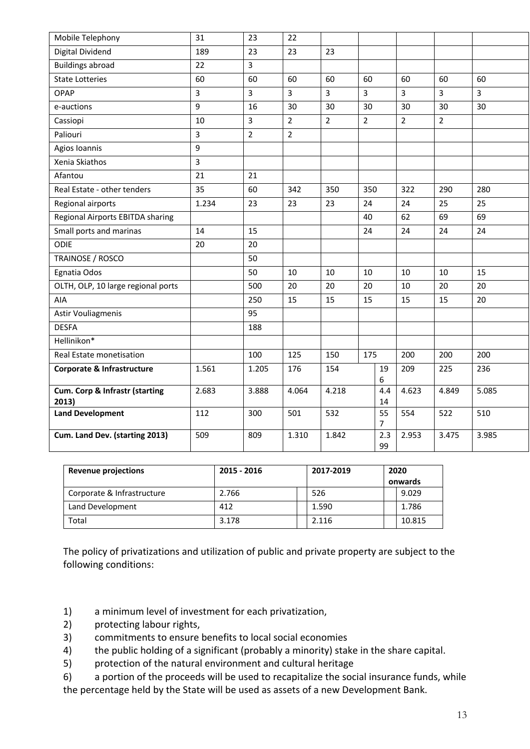| Mobile Telephony                        | 31    | 23             | 22             |                |                |           |                |                |                |
|-----------------------------------------|-------|----------------|----------------|----------------|----------------|-----------|----------------|----------------|----------------|
| Digital Dividend                        | 189   | 23             | 23             | 23             |                |           |                |                |                |
| <b>Buildings abroad</b>                 | 22    | 3              |                |                |                |           |                |                |                |
| <b>State Lotteries</b>                  | 60    | 60             | 60             | 60             | 60             |           | 60             | 60             | 60             |
| <b>OPAP</b>                             | 3     | $\overline{3}$ | $\overline{3}$ | $\overline{3}$ | 3              |           | $\overline{3}$ | 3              | $\overline{3}$ |
| e-auctions                              | 9     | 16             | 30             | 30             | 30             |           | 30             | 30             | 30             |
| Cassiopi                                | 10    | 3              | $\overline{2}$ | $\overline{2}$ | $\overline{2}$ |           | $\overline{2}$ | $\overline{2}$ |                |
| Paliouri                                | 3     | $\overline{2}$ | $\overline{2}$ |                |                |           |                |                |                |
| Agios Ioannis                           | 9     |                |                |                |                |           |                |                |                |
| Xenia Skiathos                          | 3     |                |                |                |                |           |                |                |                |
| Afantou                                 | 21    | 21             |                |                |                |           |                |                |                |
| Real Estate - other tenders             | 35    | 60             | 342            | 350            | 350            |           | 322            | 290            | 280            |
| Regional airports                       | 1.234 | 23             | 23             | 23             | 24             |           | 24             | 25             | 25             |
| Regional Airports EBITDA sharing        |       |                |                |                | 40             |           | 62             | 69             | 69             |
| Small ports and marinas                 | 14    | 15             |                |                | 24             |           | 24             | 24             | 24             |
| ODIE                                    | 20    | 20             |                |                |                |           |                |                |                |
| TRAINOSE / ROSCO                        |       | 50             |                |                |                |           |                |                |                |
| Egnatia Odos                            |       | 50             | 10             | 10             | 10             |           | 10             | 10             | 15             |
| OLTH, OLP, 10 large regional ports      |       | 500            | 20             | 20             | 20             |           | 10             | 20             | 20             |
| AIA                                     |       | 250            | 15             | 15             | 15             |           | 15             | 15             | 20             |
| Astir Vouliagmenis                      |       | 95             |                |                |                |           |                |                |                |
| <b>DESFA</b>                            |       | 188            |                |                |                |           |                |                |                |
| Hellinikon*                             |       |                |                |                |                |           |                |                |                |
| Real Estate monetisation                |       | 100            | 125            | 150            | 175            |           | 200            | 200            | 200            |
| <b>Corporate &amp; Infrastructure</b>   | 1.561 | 1.205          | 176            | 154            |                | 19<br>6   | 209            | 225            | 236            |
| Cum. Corp & Infrastr (starting<br>2013) | 2.683 | 3.888          | 4.064          | 4.218          |                | 4.4<br>14 | 4.623          | 4.849          | 5.085          |
| <b>Land Development</b>                 | 112   | 300            | 501            | 532            |                | 55<br>7   | 554            | 522            | 510            |
| Cum. Land Dev. (starting 2013)          | 509   | 809            | 1.310          | 1.842          |                | 2.3<br>99 | 2.953          | 3.475          | 3.985          |

| <b>Revenue projections</b> | 2015 - 2016 | 2017-2019 | 2020 |         |
|----------------------------|-------------|-----------|------|---------|
|                            |             |           |      | onwards |
| Corporate & Infrastructure | 2.766       | 526       |      | 9.029   |
| Land Development           | 412         | 1.590     |      | 1.786   |
| Total                      | 3.178       | 2.116     |      | 10.815  |

The policy of privatizations and utilization of public and private property are subject to the following conditions:

- 1) a minimum level of investment for each privatization,
- 2) protecting labour rights,
- 3) commitments to ensure benefits to local social economies
- 4) the public holding of a significant (probably a minority) stake in the share capital.
- 5) protection of the natural environment and cultural heritage
- 6) a portion of the proceeds will be used to recapitalize the social insurance funds, while the percentage held by the State will be used as assets of a new Development Bank.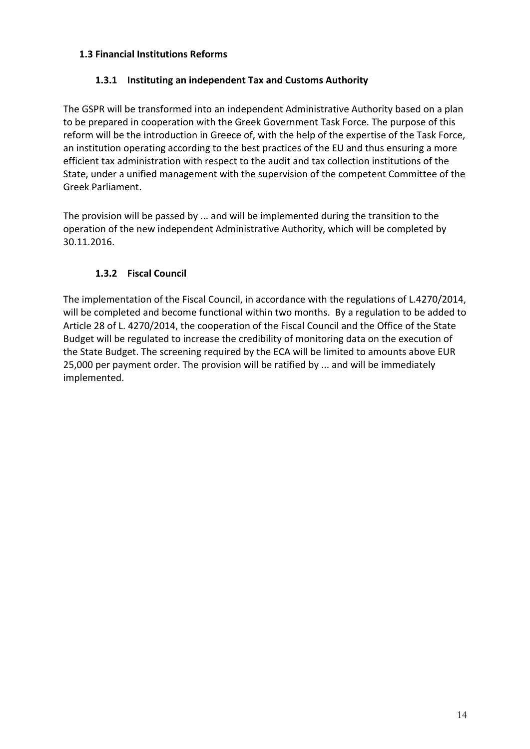### **1.3 Financial Institutions Reforms**

## **1.3.1 Instituting an independent Tax and Customs Authority**

The GSPR will be transformed into an independent Administrative Authority based on a plan to be prepared in cooperation with the Greek Government Task Force. The purpose of this reform will be the introduction in Greece of, with the help of the expertise of the Task Force, an institution operating according to the best practices of the EU and thus ensuring a more efficient tax administration with respect to the audit and tax collection institutions of the State, under a unified management with the supervision of the competent Committee of the Greek Parliament.

The provision will be passed by ... and will be implemented during the transition to the operation of the new independent Administrative Authority, which will be completed by 30.11.2016.

## **1.3.2 Fiscal Council**

The implementation of the Fiscal Council, in accordance with the regulations of L.4270/2014, will be completed and become functional within two months. By a regulation to be added to Article 28 of L. 4270/2014, the cooperation of the Fiscal Council and the Office of the State Budget will be regulated to increase the credibility of monitoring data on the execution of the State Budget. The screening required by the ECA will be limited to amounts above EUR 25,000 per payment order. The provision will be ratified by ... and will be immediately implemented.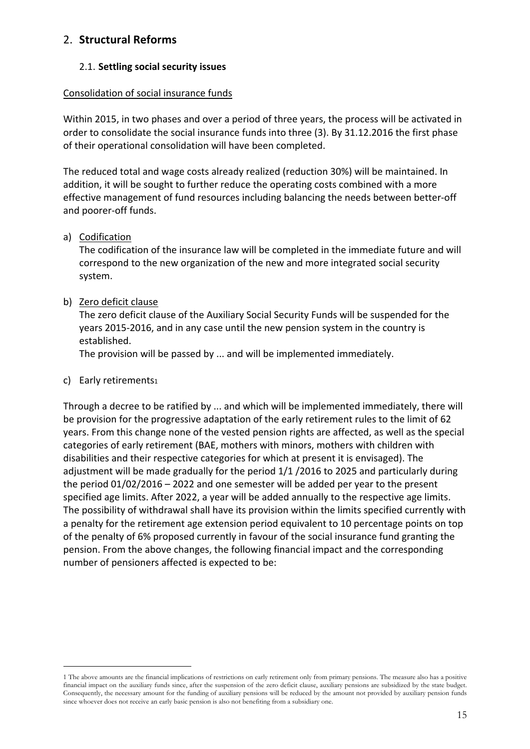## 2. **Structural Reforms**

#### 2.1. **Settling social security issues**

#### Consolidation of social insurance funds

Within 2015, in two phases and over a period of three years, the process will be activated in order to consolidate the social insurance funds into three (3). By 31.12.2016 the first phase of their operational consolidation will have been completed.

The reduced total and wage costs already realized (reduction 30%) will be maintained. In addition, it will be sought to further reduce the operating costs combined with a more effective management of fund resources including balancing the needs between better-off and poorer-off funds.

#### a) Codification

The codification of the insurance law will be completed in the immediate future and will correspond to the new organization of the new and more integrated social security system.

#### b) Zero deficit clause

The zero deficit clause of the Auxiliary Social Security Funds will be suspended for the years 2015-2016, and in any case until the new pension system in the country is established.

The provision will be passed by ... and will be implemented immediately.

#### c) Early retirements1

Through a decree to be ratified by ... and which will be implemented immediately, there will be provision for the progressive adaptation of the early retirement rules to the limit of 62 years. From this change none of the vested pension rights are affected, as well as the special categories of early retirement (BAE, mothers with minors, mothers with children with disabilities and their respective categories for which at present it is envisaged). The adjustment will be made gradually for the period 1/1 /2016 to 2025 and particularly during the period 01/02/2016 – 2022 and one semester will be added per year to the present specified age limits. After 2022, a year will be added annually to the respective age limits. The possibility of withdrawal shall have its provision within the limits specified currently with a penalty for the retirement age extension period equivalent to 10 percentage points on top of the penalty of 6% proposed currently in favour of the social insurance fund granting the pension. From the above changes, the following financial impact and the corresponding number of pensioners affected is expected to be:

<sup>1</sup> The above amounts are the financial implications of restrictions on early retirement only from primary pensions. The measure also has a positive financial impact on the auxiliary funds since, after the suspension of the zero deficit clause, auxiliary pensions are subsidized by the state budget. Consequently, the necessary amount for the funding of auxiliary pensions will be reduced by the amount not provided by auxiliary pension funds since whoever does not receive an early basic pension is also not benefiting from a subsidiary one.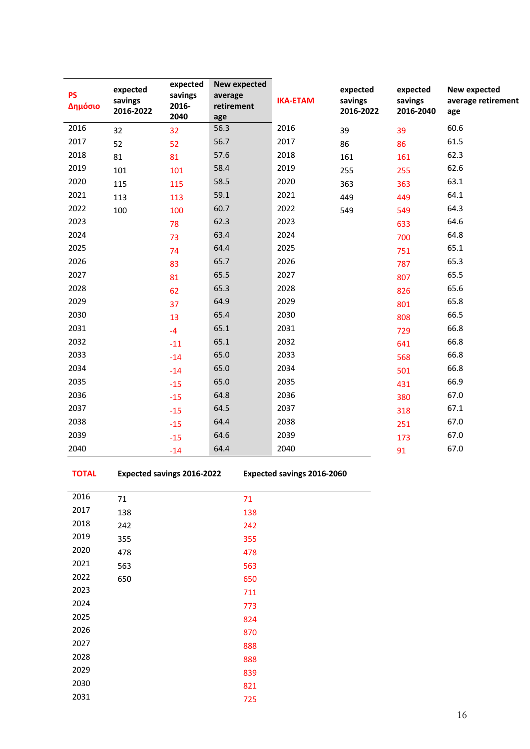| <b>PS</b><br>Δημόσιο | expected<br>savings<br>2016-2022 | expected<br>savings<br>2016-<br>2040 | <b>New expected</b><br>average<br>retirement<br>age | <b>IKA-ETAM</b> | expected<br>savings<br>2016-2022 | expected<br>savings<br>2016-2040 | New expected<br>average retirement<br>age |
|----------------------|----------------------------------|--------------------------------------|-----------------------------------------------------|-----------------|----------------------------------|----------------------------------|-------------------------------------------|
| 2016                 | 32                               | 32                                   | 56.3                                                | 2016            | 39                               | 39                               | 60.6                                      |
| 2017                 | 52                               | 52                                   | 56.7                                                | 2017            | 86                               | 86                               | 61.5                                      |
| 2018                 | 81                               | 81                                   | 57.6                                                | 2018            | 161                              | 161                              | 62.3                                      |
| 2019                 | 101                              | 101                                  | 58.4                                                | 2019            | 255                              | 255                              | 62.6                                      |
| 2020                 | 115                              | 115                                  | 58.5                                                | 2020            | 363                              | 363                              | 63.1                                      |
| 2021                 | 113                              | 113                                  | 59.1                                                | 2021            | 449                              | 449                              | 64.1                                      |
| 2022                 | 100                              | 100                                  | 60.7                                                | 2022            | 549                              | 549                              | 64.3                                      |
| 2023                 |                                  | 78                                   | 62.3                                                | 2023            |                                  | 633                              | 64.6                                      |
| 2024                 |                                  | 73                                   | 63.4                                                | 2024            |                                  | 700                              | 64.8                                      |
| 2025                 |                                  | 74                                   | 64.4                                                | 2025            |                                  | 751                              | 65.1                                      |
| 2026                 |                                  | 83                                   | 65.7                                                | 2026            |                                  | 787                              | 65.3                                      |
| 2027                 |                                  | 81                                   | 65.5                                                | 2027            |                                  | 807                              | 65.5                                      |
| 2028                 |                                  | 62                                   | 65.3                                                | 2028            |                                  | 826                              | 65.6                                      |
| 2029                 |                                  | 37                                   | 64.9                                                | 2029            |                                  | 801                              | 65.8                                      |
| 2030                 |                                  | 13                                   | 65.4                                                | 2030            |                                  | 808                              | 66.5                                      |
| 2031                 |                                  | $-4$                                 | 65.1                                                | 2031            |                                  | 729                              | 66.8                                      |
| 2032                 |                                  | $-11$                                | 65.1                                                | 2032            |                                  | 641                              | 66.8                                      |
| 2033                 |                                  | $-14$                                | 65.0                                                | 2033            |                                  | 568                              | 66.8                                      |
| 2034                 |                                  | $-14$                                | 65.0                                                | 2034            |                                  | 501                              | 66.8                                      |
| 2035                 |                                  | $-15$                                | 65.0                                                | 2035            |                                  | 431                              | 66.9                                      |
| 2036                 |                                  | $-15$                                | 64.8                                                | 2036            |                                  | 380                              | 67.0                                      |
| 2037                 |                                  | $-15$                                | 64.5                                                | 2037            |                                  | 318                              | 67.1                                      |
| 2038                 |                                  | $-15$                                | 64.4                                                | 2038            |                                  | 251                              | 67.0                                      |
| 2039                 |                                  | $-15$                                | 64.6                                                | 2039            |                                  | 173                              | 67.0                                      |
| 2040                 |                                  | $-14$                                | 64.4                                                | 2040            |                                  | 91                               | 67.0                                      |

**TOTAL Expected savings 2016-2022 Expected savings 2016-2060**

| 2016 | 71  | 71  |
|------|-----|-----|
| 2017 | 138 | 138 |
| 2018 | 242 | 242 |
| 2019 | 355 | 355 |
| 2020 | 478 | 478 |
| 2021 | 563 | 563 |
| 2022 | 650 | 650 |
| 2023 |     | 711 |
| 2024 |     | 773 |
| 2025 |     | 824 |
| 2026 |     | 870 |
| 2027 |     | 888 |
| 2028 |     | 888 |
| 2029 |     | 839 |
| 2030 |     | 821 |
| 2031 |     | 725 |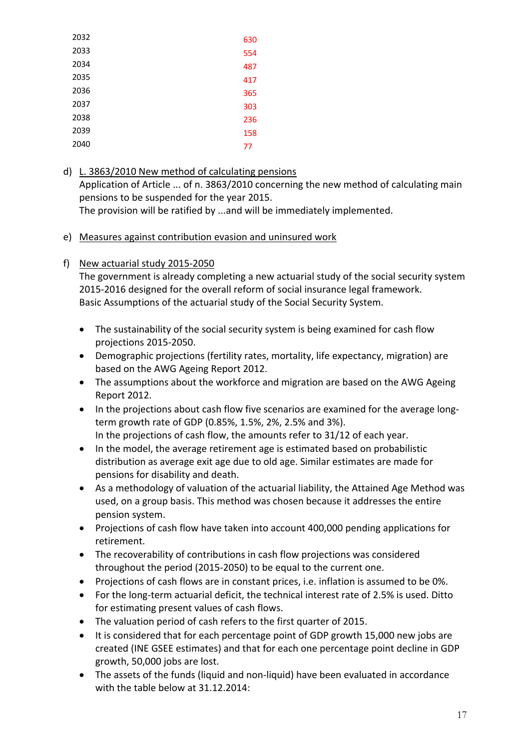| 2032 | 630 |
|------|-----|
| 2033 | 554 |
| 2034 | 487 |
| 2035 | 417 |
| 2036 | 365 |
| 2037 | 303 |
| 2038 | 236 |
| 2039 | 158 |
| 2040 | 77  |
|      |     |

- d) L. 3863/2010 New method of calculating pensions Application of Article ... of n. 3863/2010 concerning the new method of calculating main pensions to be suspended for the year 2015. The provision will be ratified by ...and will be immediately implemented.
- e) Measures against contribution evasion and uninsured work
- f) New actuarial study 2015-2050

The government is already completing a new actuarial study of the social security system 2015-2016 designed for the overall reform of social insurance legal framework. Basic Assumptions of the actuarial study of the Social Security System.

- The sustainability of the social security system is being examined for cash flow projections 2015-2050.
- Demographic projections (fertility rates, mortality, life expectancy, migration) are based on the AWG Ageing Report 2012.
- The assumptions about the workforce and migration are based on the AWG Ageing Report 2012.
- In the projections about cash flow five scenarios are examined for the average longterm growth rate of GDP (0.85%, 1.5%, 2%, 2.5% and 3%). In the projections of cash flow, the amounts refer to 31/12 of each year.
- In the model, the average retirement age is estimated based on probabilistic distribution as average exit age due to old age. Similar estimates are made for pensions for disability and death.
- As a methodology of valuation of the actuarial liability, the Attained Age Method was used, on a group basis. This method was chosen because it addresses the entire pension system.
- Projections of cash flow have taken into account 400,000 pending applications for retirement.
- The recoverability of contributions in cash flow projections was considered throughout the period (2015-2050) to be equal to the current one.
- Projections of cash flows are in constant prices, i.e. inflation is assumed to be 0%.
- For the long-term actuarial deficit, the technical interest rate of 2.5% is used. Ditto for estimating present values of cash flows.
- The valuation period of cash refers to the first quarter of 2015.
- It is considered that for each percentage point of GDP growth 15,000 new jobs are created (INE GSEE estimates) and that for each one percentage point decline in GDP growth, 50,000 jobs are lost.
- The assets of the funds (liquid and non-liquid) have been evaluated in accordance with the table below at 31.12.2014: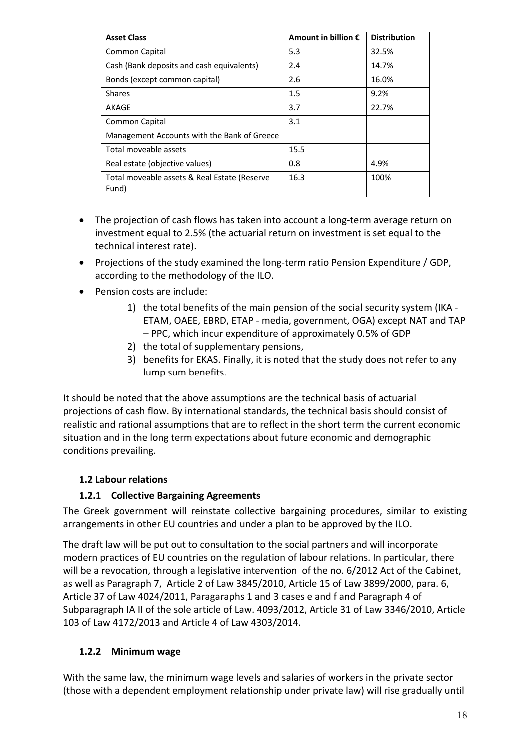| <b>Asset Class</b>                                    | Amount in billion $\epsilon$ | <b>Distribution</b> |
|-------------------------------------------------------|------------------------------|---------------------|
| Common Capital                                        | 5.3                          | 32.5%               |
| Cash (Bank deposits and cash equivalents)             | 2.4                          | 14.7%               |
| Bonds (except common capital)                         | 2.6                          | 16.0%               |
| <b>Shares</b>                                         | 1.5                          | 9.2%                |
| AKAGE                                                 | 3.7                          | 22.7%               |
| Common Capital                                        | 3.1                          |                     |
| Management Accounts with the Bank of Greece           |                              |                     |
| Total moveable assets                                 | 15.5                         |                     |
| Real estate (objective values)                        | 0.8                          | 4.9%                |
| Total moveable assets & Real Estate (Reserve<br>Fund) | 16.3                         | 100%                |

- The projection of cash flows has taken into account a long-term average return on investment equal to 2.5% (the actuarial return on investment is set equal to the technical interest rate).
- Projections of the study examined the long-term ratio Pension Expenditure / GDP, according to the methodology of the ILO.
- Pension costs are include:
	- 1) the total benefits of the main pension of the social security system (IKA ETAM, OAEE, EBRD, ETAP - media, government, OGA) except NAT and TAP – PPC, which incur expenditure of approximately 0.5% of GDP
	- 2) the total of supplementary pensions,
	- 3) benefits for EKAS. Finally, it is noted that the study does not refer to any lump sum benefits.

It should be noted that the above assumptions are the technical basis of actuarial projections of cash flow. By international standards, the technical basis should consist of realistic and rational assumptions that are to reflect in the short term the current economic situation and in the long term expectations about future economic and demographic conditions prevailing.

## **1.2 Labour relations**

## **1.2.1 Collective Bargaining Agreements**

The Greek government will reinstate collective bargaining procedures, similar to existing arrangements in other EU countries and under a plan to be approved by the ILO.

The draft law will be put out to consultation to the social partners and will incorporate modern practices of EU countries on the regulation of labour relations. In particular, there will be a revocation, through a legislative intervention of the no. 6/2012 Act of the Cabinet, as well as Paragraph 7, Article 2 of Law 3845/2010, Article 15 of Law 3899/2000, para. 6, Article 37 of Law 4024/2011, Paragaraphs 1 and 3 cases e and f and Paragraph 4 of Subparagraph IA II of the sole article of Law. 4093/2012, Article 31 of Law 3346/2010, Article 103 of Law 4172/2013 and Article 4 of Law 4303/2014.

## **1.2.2 Minimum wage**

With the same law, the minimum wage levels and salaries of workers in the private sector (those with a dependent employment relationship under private law) will rise gradually until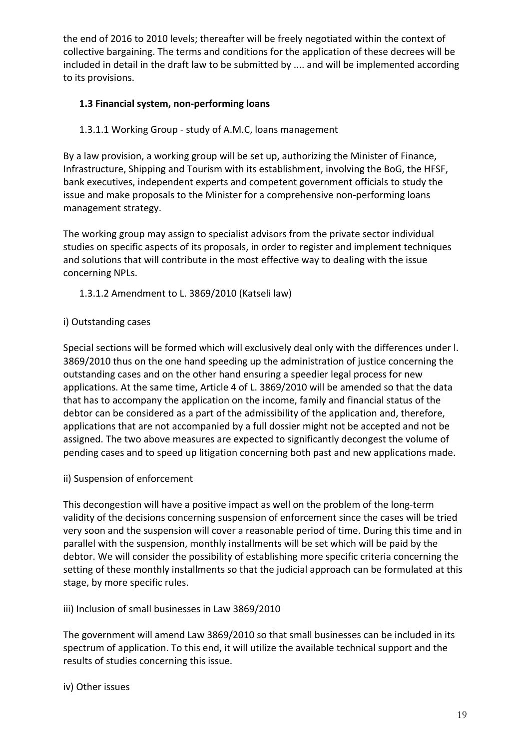the end of 2016 to 2010 levels; thereafter will be freely negotiated within the context of collective bargaining. The terms and conditions for the application of these decrees will be included in detail in the draft law to be submitted by .... and will be implemented according to its provisions.

## **1.3 Financial system, non-performing loans**

#### 1.3.1.1 Working Group - study of A.M.C, loans management

By a law provision, a working group will be set up, authorizing the Minister of Finance, Infrastructure, Shipping and Tourism with its establishment, involving the BoG, the HFSF, bank executives, independent experts and competent government officials to study the issue and make proposals to the Minister for a comprehensive non-performing loans management strategy.

The working group may assign to specialist advisors from the private sector individual studies on specific aspects of its proposals, in order to register and implement techniques and solutions that will contribute in the most effective way to dealing with the issue concerning NPLs.

1.3.1.2 Amendment to L. 3869/2010 (Katseli law)

#### i) Outstanding cases

Special sections will be formed which will exclusively deal only with the differences under l. 3869/2010 thus on the one hand speeding up the administration of justice concerning the outstanding cases and on the other hand ensuring a speedier legal process for new applications. At the same time, Article 4 of L. 3869/2010 will be amended so that the data that has to accompany the application on the income, family and financial status of the debtor can be considered as a part of the admissibility of the application and, therefore, applications that are not accompanied by a full dossier might not be accepted and not be assigned. The two above measures are expected to significantly decongest the volume of pending cases and to speed up litigation concerning both past and new applications made.

#### ii) Suspension of enforcement

This decongestion will have a positive impact as well on the problem of the long-term validity of the decisions concerning suspension of enforcement since the cases will be tried very soon and the suspension will cover a reasonable period of time. During this time and in parallel with the suspension, monthly installments will be set which will be paid by the debtor. We will consider the possibility of establishing more specific criteria concerning the setting of these monthly installments so that the judicial approach can be formulated at this stage, by more specific rules.

iii) Inclusion of small businesses in Law 3869/2010

The government will amend Law 3869/2010 so that small businesses can be included in its spectrum of application. To this end, it will utilize the available technical support and the results of studies concerning this issue.

#### iv) Other issues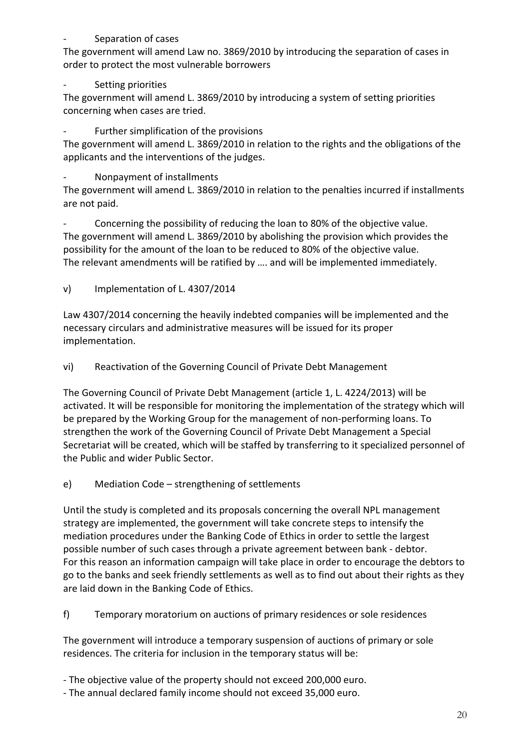#### Separation of cases

The government will amend Law no. 3869/2010 by introducing the separation of cases in order to protect the most vulnerable borrowers

## Setting priorities

The government will amend L. 3869/2010 by introducing a system of setting priorities concerning when cases are tried.

Further simplification of the provisions

The government will amend L. 3869/2010 in relation to the rights and the obligations of the applicants and the interventions of the judges.

- Nonpayment of installments

The government will amend L. 3869/2010 in relation to the penalties incurred if installments are not paid.

Concerning the possibility of reducing the loan to 80% of the objective value. The government will amend L. 3869/2010 by abolishing the provision which provides the possibility for the amount of the loan to be reduced to 80% of the objective value. The relevant amendments will be ratified by …. and will be implemented immediately.

v) Implementation of L. 4307/2014

Law 4307/2014 concerning the heavily indebted companies will be implemented and the necessary circulars and administrative measures will be issued for its proper implementation.

vi) Reactivation of the Governing Council of Private Debt Management

The Governing Council of Private Debt Management (article 1, L. 4224/2013) will be activated. It will be responsible for monitoring the implementation of the strategy which will be prepared by the Working Group for the management of non-performing loans. To strengthen the work of the Governing Council of Private Debt Management a Special Secretariat will be created, which will be staffed by transferring to it specialized personnel of the Public and wider Public Sector.

e) Mediation Code – strengthening of settlements

Until the study is completed and its proposals concerning the overall NPL management strategy are implemented, the government will take concrete steps to intensify the mediation procedures under the Banking Code of Ethics in order to settle the largest possible number of such cases through a private agreement between bank - debtor. For this reason an information campaign will take place in order to encourage the debtors to go to the banks and seek friendly settlements as well as to find out about their rights as they are laid down in the Banking Code of Ethics.

f) Temporary moratorium on auctions of primary residences or sole residences

The government will introduce a temporary suspension of auctions of primary or sole residences. The criteria for inclusion in the temporary status will be:

- The objective value of the property should not exceed 200,000 euro.
- The annual declared family income should not exceed 35,000 euro.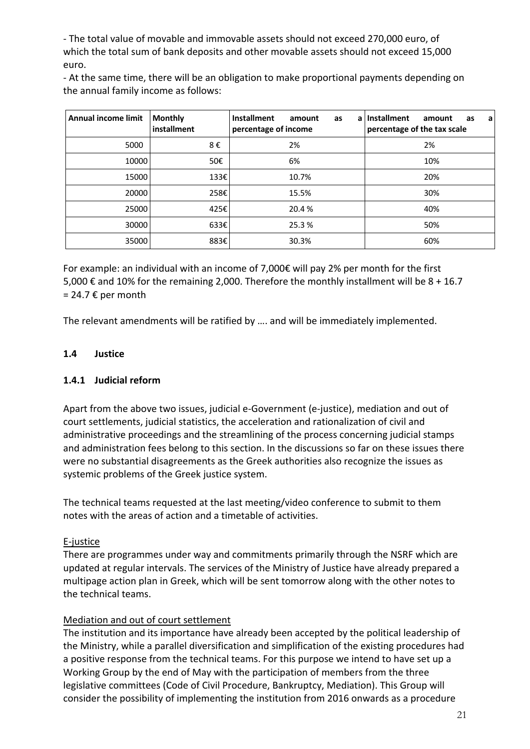- The total value of movable and immovable assets should not exceed 270,000 euro, of which the total sum of bank deposits and other movable assets should not exceed 15,000 euro.

- At the same time, there will be an obligation to make proportional payments depending on the annual family income as follows:

| Annual income limit | <b>Monthly</b><br>installment | <b>Installment</b><br>amount<br>as<br>a<br>percentage of income | <b>Installment</b><br>amount<br>as<br>а<br>percentage of the tax scale |
|---------------------|-------------------------------|-----------------------------------------------------------------|------------------------------------------------------------------------|
| 5000                | 8€                            | 2%                                                              | 2%                                                                     |
| 10000               | 50€                           | 6%                                                              | 10%                                                                    |
| 15000               | 133€                          | 10.7%                                                           | 20%                                                                    |
| 20000               | 258€                          | 15.5%                                                           | 30%                                                                    |
| 25000               | 425€                          | 20.4 %                                                          | 40%                                                                    |
| 30000               | 633E                          | 25.3%                                                           | 50%                                                                    |
| 35000               | 883€                          | 30.3%                                                           | 60%                                                                    |

For example: an individual with an income of 7,000€ will pay 2% per month for the first 5,000 € and 10% for the remaining 2,000. Therefore the monthly installment will be  $8 + 16.7$  $= 24.7 \text{ E per month}$ 

The relevant amendments will be ratified by …. and will be immediately implemented.

#### **1.4 Justice**

#### **1.4.1 Judicial reform**

Apart from the above two issues, judicial e-Government (e-justice), mediation and out of court settlements, judicial statistics, the acceleration and rationalization of civil and administrative proceedings and the streamlining of the process concerning judicial stamps and administration fees belong to this section. In the discussions so far on these issues there were no substantial disagreements as the Greek authorities also recognize the issues as systemic problems of the Greek justice system.

The technical teams requested at the last meeting/video conference to submit to them notes with the areas of action and a timetable of activities.

#### E-justice

There are programmes under way and commitments primarily through the NSRF which are updated at regular intervals. The services of the Ministry of Justice have already prepared a multipage action plan in Greek, which will be sent tomorrow along with the other notes to the technical teams.

#### Mediation and out of court settlement

The institution and its importance have already been accepted by the political leadership of the Ministry, while a parallel diversification and simplification of the existing procedures had a positive response from the technical teams. For this purpose we intend to have set up a Working Group by the end of May with the participation of members from the three legislative committees (Code of Civil Procedure, Bankruptcy, Mediation). This Group will consider the possibility of implementing the institution from 2016 onwards as a procedure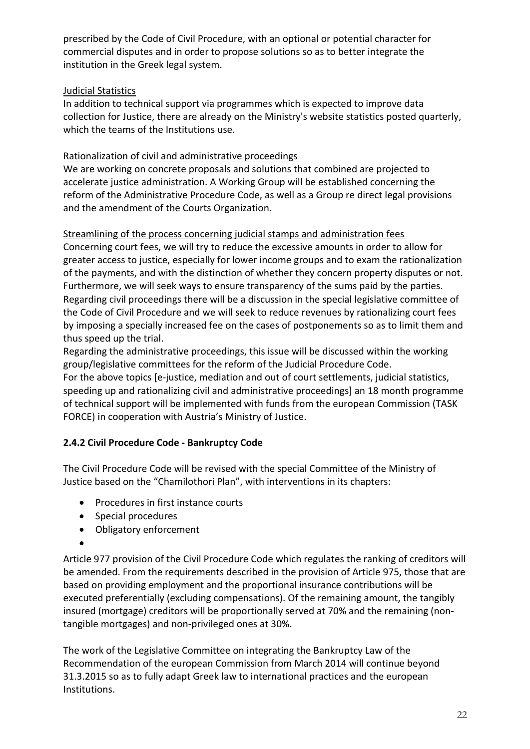prescribed by the Code of Civil Procedure, with an optional or potential character for commercial disputes and in order to propose solutions so as to better integrate the institution in the Greek legal system.

## Judicial Statistics

In addition to technical support via programmes which is expected to improve data collection for Justice, there are already on the Ministry's website statistics posted quarterly, which the teams of the Institutions use.

### Rationalization of civil and administrative proceedings

We are working on concrete proposals and solutions that combined are projected to accelerate justice administration. A Working Group will be established concerning the reform of the Administrative Procedure Code, as well as a Group re direct legal provisions and the amendment of the Courts Organization.

### Streamlining of the process concerning judicial stamps and administration fees

Concerning court fees, we will try to reduce the excessive amounts in order to allow for greater access to justice, especially for lower income groups and to exam the rationalization of the payments, and with the distinction of whether they concern property disputes or not. Furthermore, we will seek ways to ensure transparency of the sums paid by the parties. Regarding civil proceedings there will be a discussion in the special legislative committee of the Code of Civil Procedure and we will seek to reduce revenues by rationalizing court fees by imposing a specially increased fee on the cases of postponements so as to limit them and thus speed up the trial.

Regarding the administrative proceedings, this issue will be discussed within the working group/legislative committees for the reform of the Judicial Procedure Code.

For the above topics [e-justice, mediation and out of court settlements, judicial statistics, speeding up and rationalizing civil and administrative proceedings] an 18 month programme of technical support will be implemented with funds from the european Commission (TASK FORCE) in cooperation with Austria's Ministry of Justice.

## **2.4.2 Civil Procedure Code - Bankruptcy Code**

The Civil Procedure Code will be revised with the special Committee of the Ministry of Justice based on the "Chamilothori Plan", with interventions in its chapters:

- Procedures in first instance courts
- Special procedures
- Obligatory enforcement
- •

Article 977 provision of the Civil Procedure Code which regulates the ranking of creditors will be amended. From the requirements described in the provision of Article 975, those that are based on providing employment and the proportional insurance contributions will be executed preferentially (excluding compensations). Of the remaining amount, the tangibly insured (mortgage) creditors will be proportionally served at 70% and the remaining (nontangible mortgages) and non-privileged ones at 30%.

The work of the Legislative Committee on integrating the Bankruptcy Law of the Recommendation of the european Commission from March 2014 will continue beyond 31.3.2015 so as to fully adapt Greek law to international practices and the european Institutions.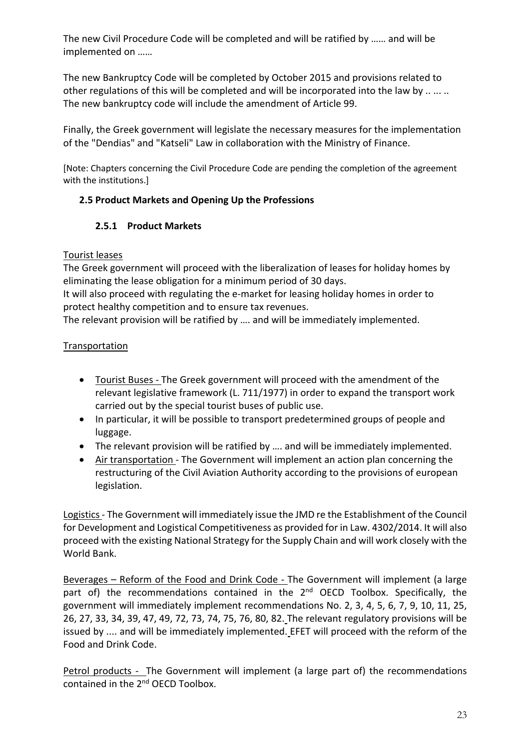The new Civil Procedure Code will be completed and will be ratified by …… and will be implemented on ……

The new Bankruptcy Code will be completed by October 2015 and provisions related to other regulations of this will be completed and will be incorporated into the law by .. ... .. The new bankruptcy code will include the amendment of Article 99.

Finally, the Greek government will legislate the necessary measures for the implementation of the "Dendias" and "Katseli" Law in collaboration with the Ministry of Finance.

[Note: Chapters concerning the Civil Procedure Code are pending the completion of the agreement with the institutions.]

## **2.5 Product Markets and Opening Up the Professions**

## **2.5.1 Product Markets**

## Tourist leases

The Greek government will proceed with the liberalization of leases for holiday homes by eliminating the lease obligation for a minimum period of 30 days.

It will also proceed with regulating the e-market for leasing holiday homes in order to protect healthy competition and to ensure tax revenues.

The relevant provision will be ratified by …. and will be immediately implemented.

## **Transportation**

- Tourist Buses The Greek government will proceed with the amendment of the relevant legislative framework (L. 711/1977) in order to expand the transport work carried out by the special tourist buses of public use.
- In particular, it will be possible to transport predetermined groups of people and luggage.
- The relevant provision will be ratified by …. and will be immediately implemented.
- Air transportation The Government will implement an action plan concerning the restructuring of the Civil Aviation Authority according to the provisions of european legislation.

Logistics- The Government will immediately issue the JMD re the Establishment of the Council for Development and Logistical Competitiveness as provided for in Law. 4302/2014. It will also proceed with the existing National Strategy for the Supply Chain and will work closely with the World Bank.

Beverages – Reform of the Food and Drink Code - The Government will implement (a large part of) the recommendations contained in the  $2<sup>nd</sup>$  OECD Toolbox. Specifically, the government will immediately implement recommendations No. 2, 3, 4, 5, 6, 7, 9, 10, 11, 25, 26, 27, 33, 34, 39, 47, 49, 72, 73, 74, 75, 76, 80, 82. The relevant regulatory provisions will be issued by .... and will be immediately implemented. EFET will proceed with the reform of the Food and Drink Code.

Petrol products - The Government will implement (a large part of) the recommendations contained in the 2<sup>nd</sup> OECD Toolbox.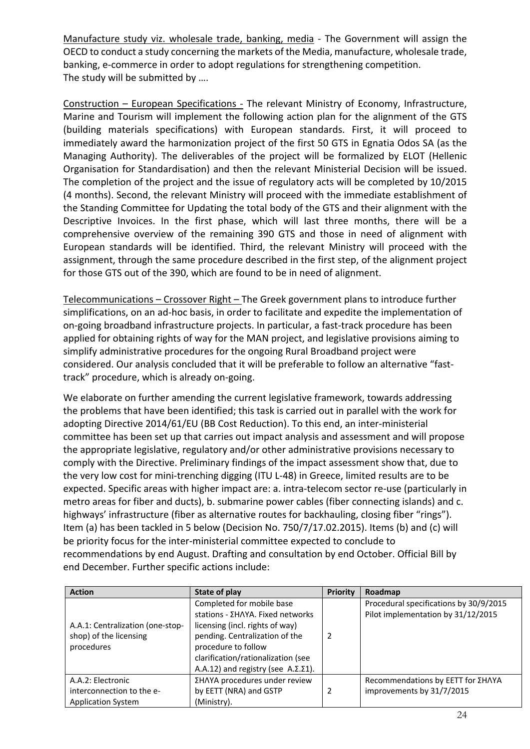Manufacture study viz. wholesale trade, banking, media - The Government will assign the OECD to conduct a study concerning the markets of the Media, manufacture, wholesale trade, banking, e-commerce in order to adopt regulations for strengthening competition. The study will be submitted by ….

Construction – European Specifications - The relevant Ministry of Economy, Infrastructure, Marine and Tourism will implement the following action plan for the alignment of the GTS (building materials specifications) with European standards. First, it will proceed to immediately award the harmonization project of the first 50 GTS in Egnatia Odos SA (as the Managing Authority). The deliverables of the project will be formalized by ELOT (Hellenic Organisation for Standardisation) and then the relevant Ministerial Decision will be issued. The completion of the project and the issue of regulatory acts will be completed by 10/2015 (4 months). Second, the relevant Ministry will proceed with the immediate establishment of the Standing Committee for Updating the total body of the GTS and their alignment with the Descriptive Invoices. In the first phase, which will last three months, there will be a comprehensive overview of the remaining 390 GTS and those in need of alignment with European standards will be identified. Third, the relevant Ministry will proceed with the assignment, through the same procedure described in the first step, of the alignment project for those GTS out of the 390, which are found to be in need of alignment.

Telecommunications – Crossover Right – The Greek government plans to introduce further simplifications, on an ad-hoc basis, in order to facilitate and expedite the implementation of on-going broadband infrastructure projects. In particular, a fast-track procedure has been applied for obtaining rights of way for the MAN project, and legislative provisions aiming to simplify administrative procedures for the ongoing Rural Broadband project were considered. Our analysis concluded that it will be preferable to follow an alternative "fasttrack" procedure, which is already on-going.

We elaborate on further amending the current legislative framework, towards addressing the problems that have been identified; this task is carried out in parallel with the work for adopting Directive 2014/61/EU (BB Cost Reduction). To this end, an inter-ministerial committee has been set up that carries out impact analysis and assessment and will propose the appropriate legislative, regulatory and/or other administrative provisions necessary to comply with the Directive. Preliminary findings of the impact assessment show that, due to the very low cost for mini-trenching digging (ITU L-48) in Greece, limited results are to be expected. Specific areas with higher impact are: a. intra-telecom sector re-use (particularly in metro areas for fiber and ducts), b. submarine power cables (fiber connecting islands) and c. highways' infrastructure (fiber as alternative routes for backhauling, closing fiber "rings"). Item (a) has been tackled in 5 below (Decision No. 750/7/17.02.2015). Items (b) and (c) will be priority focus for the inter-ministerial committee expected to conclude to recommendations by end August. Drafting and consultation by end October. Official Bill by end December. Further specific actions include:

| <b>Action</b>                    | State of play                                   | <b>Priority</b> | Roadmap                                |
|----------------------------------|-------------------------------------------------|-----------------|----------------------------------------|
|                                  | Completed for mobile base                       |                 | Procedural specifications by 30/9/2015 |
|                                  | stations - ΣΗΛΥΑ. Fixed networks                |                 | Pilot implementation by 31/12/2015     |
| A.A.1: Centralization (one-stop- | licensing (incl. rights of way)                 |                 |                                        |
| shop) of the licensing           | pending. Centralization of the                  | 2               |                                        |
| procedures                       | procedure to follow                             |                 |                                        |
|                                  | clarification/rationalization (see              |                 |                                        |
|                                  | A.A.12) and registry (see $A.\Sigma.\Sigma1$ ). |                 |                                        |
| A.A.2: Electronic                | ΣΗΛΥΑ procedures under review                   |                 | Recommendations by EETT for ΣΗΛΥΑ      |
| interconnection to the e-        | by EETT (NRA) and GSTP                          | 2               | improvements by 31/7/2015              |
| <b>Application System</b>        | (Ministry).                                     |                 |                                        |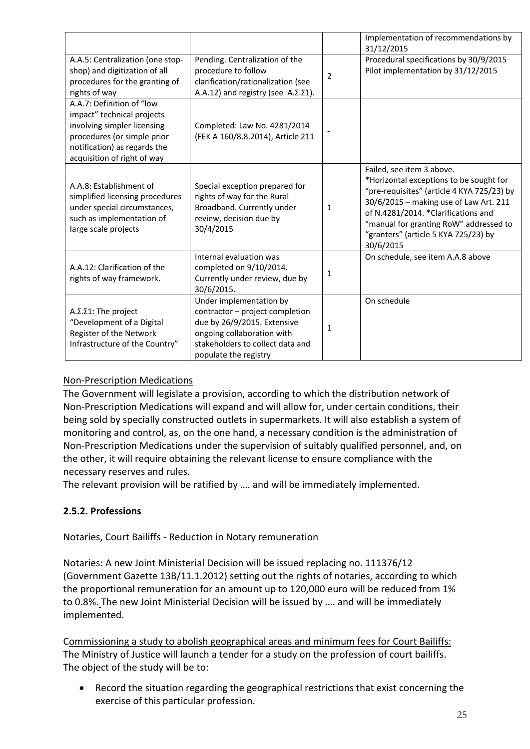|                                                                                                                                                                                      |                                                                                                                                                                                      |                | Implementation of recommendations by<br>31/12/2015                                                                                                                                                                                                                                                 |
|--------------------------------------------------------------------------------------------------------------------------------------------------------------------------------------|--------------------------------------------------------------------------------------------------------------------------------------------------------------------------------------|----------------|----------------------------------------------------------------------------------------------------------------------------------------------------------------------------------------------------------------------------------------------------------------------------------------------------|
| A.A.5: Centralization (one stop-<br>shop) and digitization of all<br>procedures for the granting of<br>rights of way                                                                 | Pending. Centralization of the<br>procedure to follow<br>clarification/rationalization (see<br>A.A.12) and registry (see $A.\Sigma.\Sigma1$ ).                                       | $\overline{2}$ | Procedural specifications by 30/9/2015<br>Pilot implementation by 31/12/2015                                                                                                                                                                                                                       |
| A.A.7: Definition of "low<br>impact" technical projects<br>involving simpler licensing<br>procedures (or simple prior<br>notification) as regards the<br>acquisition of right of way | Completed: Law No. 4281/2014<br>(FEK A 160/8.8.2014), Article 211                                                                                                                    |                |                                                                                                                                                                                                                                                                                                    |
| A.A.8: Establishment of<br>simplified licensing procedures<br>under special circumstances,<br>such as implementation of<br>large scale projects                                      | Special exception prepared for<br>rights of way for the Rural<br>Broadband. Currently under<br>review, decision due by<br>30/4/2015                                                  | $\mathbf{1}$   | Failed, see item 3 above.<br>*Horizontal exceptions to be sought for<br>"pre-requisites" (article 4 KYA 725/23) by<br>30/6/2015 - making use of Law Art. 211<br>of N.4281/2014. *Clarifications and<br>"manual for granting RoW" addressed to<br>"granters" (article 5 KYA 725/23) by<br>30/6/2015 |
| A.A.12: Clarification of the<br>rights of way framework.                                                                                                                             | Internal evaluation was<br>completed on 9/10/2014.<br>Currently under review, due by<br>30/6/2015.                                                                                   | 1              | On schedule, see item A.A.8 above                                                                                                                                                                                                                                                                  |
| A.Σ.Σ1: The project<br>"Development of a Digital<br>Register of the Network<br>Infrastructure of the Country"                                                                        | Under implementation by<br>contractor - project completion<br>due by 26/9/2015. Extensive<br>ongoing collaboration with<br>stakeholders to collect data and<br>populate the registry | $\mathbf{1}$   | On schedule                                                                                                                                                                                                                                                                                        |

## Non-Prescription Medications

The Government will legislate a provision, according to which the distribution network of Non-Prescription Medications will expand and will allow for, under certain conditions, their being sold by specially constructed outlets in supermarkets. It will also establish a system of monitoring and control, as, on the one hand, a necessary condition is the administration of Non-Prescription Medications under the supervision of suitably qualified personnel, and, on the other, it will require obtaining the relevant license to ensure compliance with the necessary reserves and rules.

The relevant provision will be ratified by …. and will be immediately implemented.

#### **2.5.2. Professions**

#### Notaries, Court Bailiffs - Reduction in Notary remuneration

Notaries: A new Joint Ministerial Decision will be issued replacing no. 111376/12 (Government Gazette 13B/11.1.2012) setting out the rights of notaries, according to which the proportional remuneration for an amount up to 120,000 euro will be reduced from 1% to 0.8%. The new Joint Ministerial Decision will be issued by …. and will be immediately implemented.

Commissioning a study to abolish geographical areas and minimum fees for Court Bailiffs: The Ministry of Justice will launch a tender for a study on the profession of court bailiffs. The object of the study will be to:

• Record the situation regarding the geographical restrictions that exist concerning the exercise of this particular profession.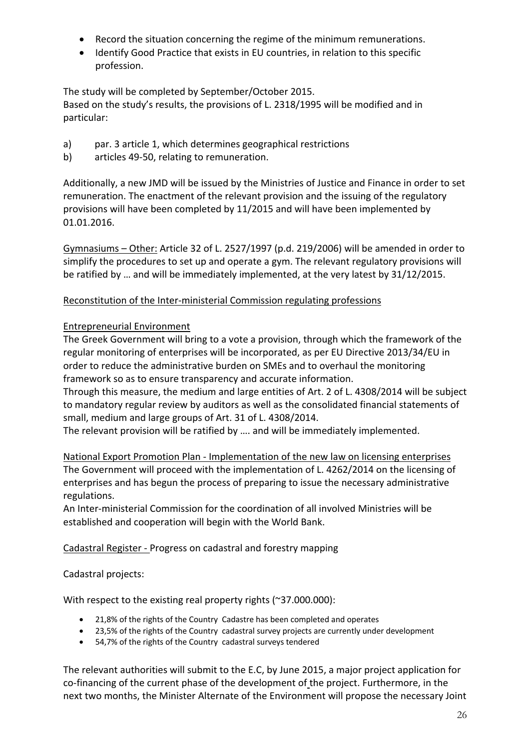- Record the situation concerning the regime of the minimum remunerations.
- Identify Good Practice that exists in EU countries, in relation to this specific profession.

The study will be completed by September/October 2015. Based on the study's results, the provisions of L. 2318/1995 will be modified and in particular:

- a) par. 3 article 1, which determines geographical restrictions
- b) articles 49-50, relating to remuneration.

Additionally, a new JMD will be issued by the Ministries of Justice and Finance in order to set remuneration. The enactment of the relevant provision and the issuing of the regulatory provisions will have been completed by 11/2015 and will have been implemented by 01.01.2016.

Gymnasiums – Other: Article 32 of L. 2527/1997 (p.d. 219/2006) will be amended in order to simplify the procedures to set up and operate a gym. The relevant regulatory provisions will be ratified by … and will be immediately implemented, at the very latest by 31/12/2015.

#### Reconstitution of the Inter-ministerial Commission regulating professions

### Entrepreneurial Environment

The Greek Government will bring to a vote a provision, through which the framework of the regular monitoring of enterprises will be incorporated, as per EU Directive 2013/34/EU in order to reduce the administrative burden on SMEs and to overhaul the monitoring framework so as to ensure transparency and accurate information.

Through this measure, the medium and large entities of Art. 2 of L. 4308/2014 will be subject to mandatory regular review by auditors as well as the consolidated financial statements of small, medium and large groups of Art. 31 of L. 4308/2014.

The relevant provision will be ratified by …. and will be immediately implemented.

National Export Promotion Plan - Implementation of the new law on licensing enterprises The Government will proceed with the implementation of L. 4262/2014 on the licensing of enterprises and has begun the process of preparing to issue the necessary administrative regulations.

An Inter-ministerial Commission for the coordination of all involved Ministries will be established and cooperation will begin with the World Bank.

Cadastral Register - Progress on cadastral and forestry mapping

Cadastral projects:

With respect to the existing real property rights (~37.000.000):

- 21,8% of the rights of the Country Cadastre has been completed and operates
- 23,5% of the rights of the Country cadastral survey projects are currently under development
- 54,7% of the rights of the Country cadastral surveys tendered

The relevant authorities will submit to the E.C, by June 2015, a major project application for co-financing of the current phase of the development of the project. Furthermore, in the next two months, the Minister Alternate of the Environment will propose the necessary Joint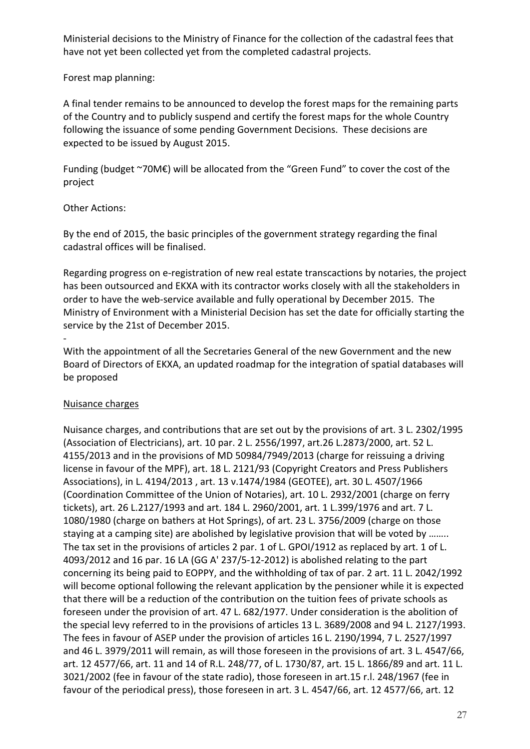Ministerial decisions to the Ministry of Finance for the collection of the cadastral fees that have not yet been collected yet from the completed cadastral projects.

#### Forest map planning:

A final tender remains to be announced to develop the forest maps for the remaining parts of the Country and to publicly suspend and certify the forest maps for the whole Country following the issuance of some pending Government Decisions. These decisions are expected to be issued by August 2015.

Funding (budget ~70M€) will be allocated from the "Green Fund" to cover the cost of the project

### Other Actions:

By the end of 2015, the basic principles of the government strategy regarding the final cadastral offices will be finalised.

Regarding progress on e-registration of new real estate transcactions by notaries, the project has been outsourced and EKXA with its contractor works closely with all the stakeholders in order to have the web-service available and fully operational by December 2015. The Ministry of Environment with a Ministerial Decision has set the date for officially starting the service by the 21st of December 2015.

With the appointment of all the Secretaries General of the new Government and the new Board of Directors of EKXA, an updated roadmap for the integration of spatial databases will be proposed

#### Nuisance charges

-

Nuisance charges, and contributions that are set out by the provisions of art. 3 L. 2302/1995 (Association of Electricians), art. 10 par. 2 L. 2556/1997, art.26 L.2873/2000, art. 52 L. 4155/2013 and in the provisions of MD 50984/7949/2013 (charge for reissuing a driving license in favour of the MPF), art. 18 L. 2121/93 (Copyright Creators and Press Publishers Associations), in L. 4194/2013 , art. 13 ν.1474/1984 (GEOTEE), art. 30 L. 4507/1966 (Coordination Committee of the Union of Notaries), art. 10 L. 2932/2001 (charge on ferry tickets), art. 26 L.2127/1993 and art. 184 L. 2960/2001, art. 1 L.399/1976 and art. 7 L. 1080/1980 (charge on bathers at Hot Springs), of art. 23 L. 3756/2009 (charge on those staying at a camping site) are abolished by legislative provision that will be voted by …….. The tax set in the provisions of articles 2 par. 1 of L. GPOI/1912 as replaced by art. 1 of L. 4093/2012 and 16 par. 16 LA (GG Α' 237/5-12-2012) is abolished relating to the part concerning its being paid to EOPPY, and the withholding of tax of par. 2 art. 11 L. 2042/1992 will become optional following the relevant application by the pensioner while it is expected that there will be a reduction of the contribution on the tuition fees of private schools as foreseen under the provision of art. 47 L. 682/1977. Under consideration is the abolition of the special levy referred to in the provisions of articles 13 L. 3689/2008 and 94 L. 2127/1993. The fees in favour of ASEP under the provision of articles 16 L. 2190/1994, 7 L. 2527/1997 and 46 L. 3979/2011 will remain, as will those foreseen in the provisions of art. 3 L. 4547/66, art. 12 4577/66, art. 11 and 14 of R.L. 248/77, of L. 1730/87, art. 15 L. 1866/89 and art. 11 L. 3021/2002 (fee in favour of the state radio), those foreseen in art.15 r.l. 248/1967 (fee in favour of the periodical press), those foreseen in art. 3 L. 4547/66, art. 12 4577/66, art. 12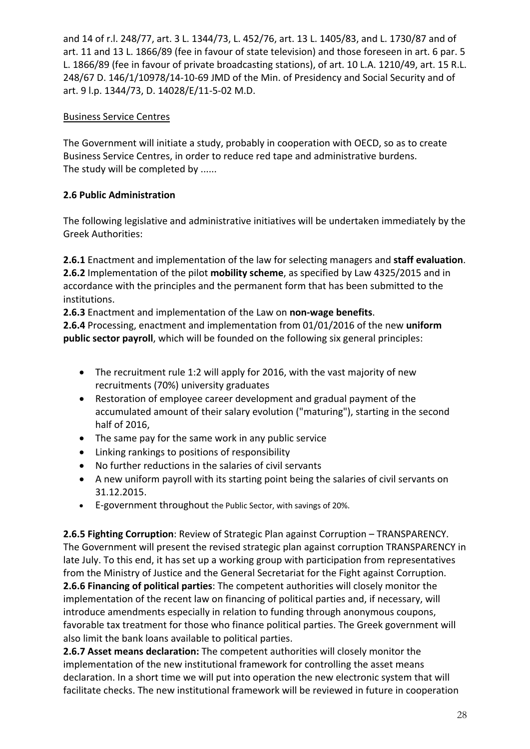and 14 of r.l. 248/77, art. 3 L. 1344/73, L. 452/76, art. 13 L. 1405/83, and L. 1730/87 and of art. 11 and 13 L. 1866/89 (fee in favour of state television) and those foreseen in art. 6 par. 5 L. 1866/89 (fee in favour of private broadcasting stations), of art. 10 L.A. 1210/49, art. 15 R.L. 248/67 D. 146/1/10978/14-10-69 JMD of the Min. of Presidency and Social Security and of art. 9 l.p. 1344/73, D. 14028/Ε/11-5-02 M.D.

## Business Service Centres

The Government will initiate a study, probably in cooperation with OECD, so as to create Business Service Centres, in order to reduce red tape and administrative burdens. The study will be completed by ......

## **2.6 Public Administration**

The following legislative and administrative initiatives will be undertaken immediately by the Greek Authorities:

**2.6.1** Enactment and implementation of the law for selecting managers and **staff evaluation**. **2.6.2** Implementation of the pilot **mobility scheme**, as specified by Law 4325/2015 and in accordance with the principles and the permanent form that has been submitted to the institutions.

**2.6.3** Enactment and implementation of the Law on **non-wage benefits**.

**2.6.4** Processing, enactment and implementation from 01/01/2016 of the new **uniform public sector payroll**, which will be founded on the following six general principles:

- The recruitment rule 1:2 will apply for 2016, with the vast majority of new recruitments (70%) university graduates
- Restoration of employee career development and gradual payment of the accumulated amount of their salary evolution ("maturing"), starting in the second half of 2016,
- The same pay for the same work in any public service
- Linking rankings to positions of responsibility
- No further reductions in the salaries of civil servants
- A new uniform payroll with its starting point being the salaries of civil servants on 31.12.2015.
- E-government throughout the Public Sector, with savings of 20%.

**2.6.5 Fighting Corruption**: Review of Strategic Plan against Corruption – TRANSPARENCY. The Government will present the revised strategic plan against corruption TRANSPARENCY in late July. To this end, it has set up a working group with participation from representatives from the Ministry of Justice and the General Secretariat for the Fight against Corruption.

**2.6.6 Financing of political parties**: The competent authorities will closely monitor the implementation of the recent law on financing of political parties and, if necessary, will introduce amendments especially in relation to funding through anonymous coupons, favorable tax treatment for those who finance political parties. The Greek government will also limit the bank loans available to political parties.

**2.6.7 Asset means declaration:** The competent authorities will closely monitor the implementation of the new institutional framework for controlling the asset means declaration. In a short time we will put into operation the new electronic system that will facilitate checks. The new institutional framework will be reviewed in future in cooperation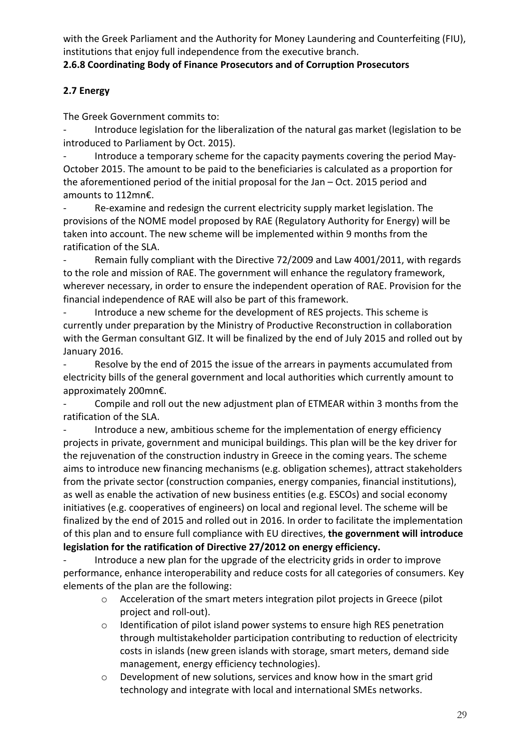with the Greek Parliament and the Authority for Money Laundering and Counterfeiting (FIU), institutions that enjoy full independence from the executive branch.

## **2.6.8 Coordinating Body of Finance Prosecutors and of Corruption Prosecutors**

## **2.7 Energy**

The Greek Government commits to:

Introduce legislation for the liberalization of the natural gas market (legislation to be introduced to Parliament by Oct. 2015).

Introduce a temporary scheme for the capacity payments covering the period May-October 2015. The amount to be paid to the beneficiaries is calculated as a proportion for the aforementioned period of the initial proposal for the Jan – Oct. 2015 period and amounts to 112mn€.

Re-examine and redesign the current electricity supply market legislation. The provisions of the NOME model proposed by RAE (Regulatory Authority for Energy) will be taken into account. The new scheme will be implemented within 9 months from the ratification of the SLA.

Remain fully compliant with the Directive 72/2009 and Law 4001/2011, with regards to the role and mission of RAE. The government will enhance the regulatory framework, wherever necessary, in order to ensure the independent operation of RAE. Provision for the financial independence of RAE will also be part of this framework.

Introduce a new scheme for the development of RES projects. This scheme is currently under preparation by the Ministry of Productive Reconstruction in collaboration with the German consultant GIZ. It will be finalized by the end of July 2015 and rolled out by January 2016.

Resolve by the end of 2015 the issue of the arrears in payments accumulated from electricity bills of the general government and local authorities which currently amount to approximately 200mn€.

Compile and roll out the new adjustment plan of ETMEAR within 3 months from the ratification of the SLA.

Introduce a new, ambitious scheme for the implementation of energy efficiency projects in private, government and municipal buildings. This plan will be the key driver for the rejuvenation of the construction industry in Greece in the coming years. The scheme aims to introduce new financing mechanisms (e.g. obligation schemes), attract stakeholders from the private sector (construction companies, energy companies, financial institutions), as well as enable the activation of new business entities (e.g. ESCOs) and social economy initiatives (e.g. cooperatives of engineers) on local and regional level. The scheme will be finalized by the end of 2015 and rolled out in 2016. In order to facilitate the implementation of this plan and to ensure full compliance with EU directives, **the government will introduce legislation for the ratification of Directive 27/2012 on energy efficiency.**

Introduce a new plan for the upgrade of the electricity grids in order to improve performance, enhance interoperability and reduce costs for all categories of consumers. Key elements of the plan are the following:

- o Acceleration of the smart meters integration pilot projects in Greece (pilot project and roll-out).
- o Identification of pilot island power systems to ensure high RES penetration through multistakeholder participation contributing to reduction of electricity costs in islands (new green islands with storage, smart meters, demand side management, energy efficiency technologies).
- o Development of new solutions, services and know how in the smart grid technology and integrate with local and international SMEs networks.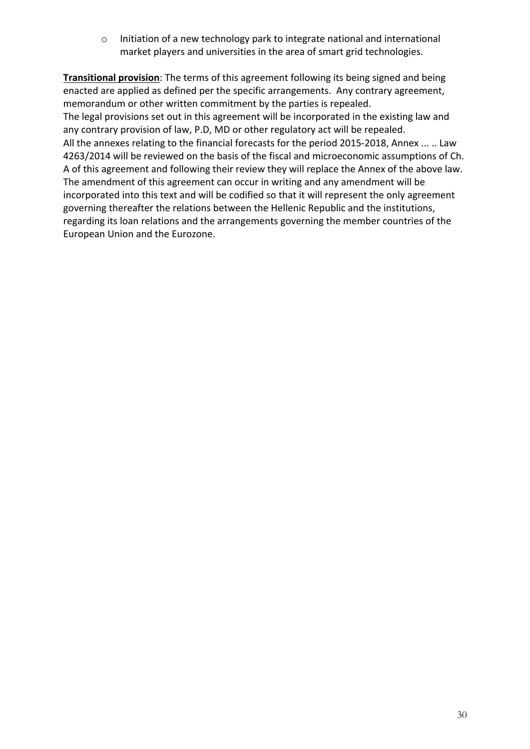o Initiation of a new technology park to integrate national and international market players and universities in the area of smart grid technologies.

**Transitional provision**: The terms of this agreement following its being signed and being enacted are applied as defined per the specific arrangements. Any contrary agreement, memorandum or other written commitment by the parties is repealed. The legal provisions set out in this agreement will be incorporated in the existing law and any contrary provision of law, P.D, MD or other regulatory act will be repealed. All the annexes relating to the financial forecasts for the period 2015-2018, Annex ... .. Law 4263/2014 will be reviewed on the basis of the fiscal and microeconomic assumptions of Ch. A of this agreement and following their review they will replace the Annex of the above law. The amendment of this agreement can occur in writing and any amendment will be incorporated into this text and will be codified so that it will represent the only agreement governing thereafter the relations between the Hellenic Republic and the institutions, regarding its loan relations and the arrangements governing the member countries of the European Union and the Eurozone.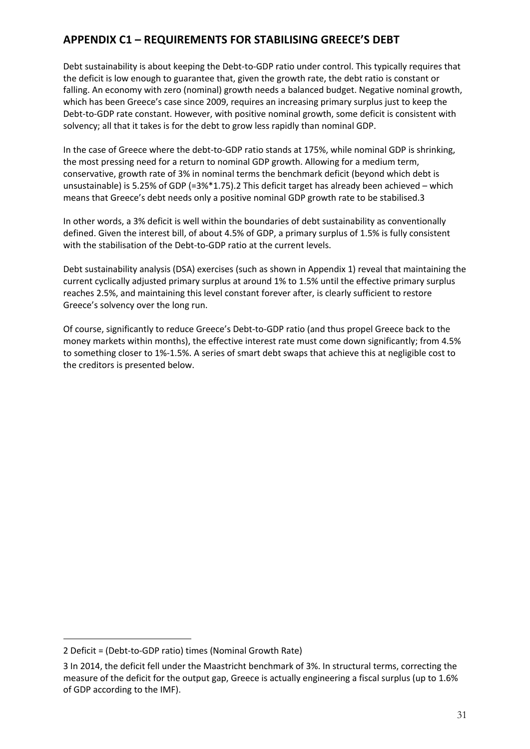## **APPENDIX C1 – REQUIREMENTS FOR STABILISING GREECE'S DEBT**

Debt sustainability is about keeping the Debt-to-GDP ratio under control. This typically requires that the deficit is low enough to guarantee that, given the growth rate, the debt ratio is constant or falling. An economy with zero (nominal) growth needs a balanced budget. Negative nominal growth, which has been Greece's case since 2009, requires an increasing primary surplus just to keep the Debt-to-GDP rate constant. However, with positive nominal growth, some deficit is consistent with solvency; all that it takes is for the debt to grow less rapidly than nominal GDP.

In the case of Greece where the debt-to-GDP ratio stands at 175%, while nominal GDP is shrinking, the most pressing need for a return to nominal GDP growth. Allowing for a medium term, conservative, growth rate of 3% in nominal terms the benchmark deficit (beyond which debt is unsustainable) is 5.25% of GDP (=3%\*1.75).2 This deficit target has already been achieved – which means that Greece's debt needs only a positive nominal GDP growth rate to be stabilised.3

In other words, a 3% deficit is well within the boundaries of debt sustainability as conventionally defined. Given the interest bill, of about 4.5% of GDP, a primary surplus of 1.5% is fully consistent with the stabilisation of the Debt-to-GDP ratio at the current levels.

Debt sustainability analysis (DSA) exercises (such as shown in Appendix 1) reveal that maintaining the current cyclically adjusted primary surplus at around 1% to 1.5% until the effective primary surplus reaches 2.5%, and maintaining this level constant forever after, is clearly sufficient to restore Greece's solvency over the long run.

Of course, significantly to reduce Greece's Debt-to-GDP ratio (and thus propel Greece back to the money markets within months), the effective interest rate must come down significantly; from 4.5% to something closer to 1%-1.5%. A series of smart debt swaps that achieve this at negligible cost to the creditors is presented below.

<sup>2</sup> Deficit = (Debt-to-GDP ratio) times (Nominal Growth Rate)

<sup>3</sup> In 2014, the deficit fell under the Maastricht benchmark of 3%. In structural terms, correcting the measure of the deficit for the output gap, Greece is actually engineering a fiscal surplus (up to 1.6% of GDP according to the IMF).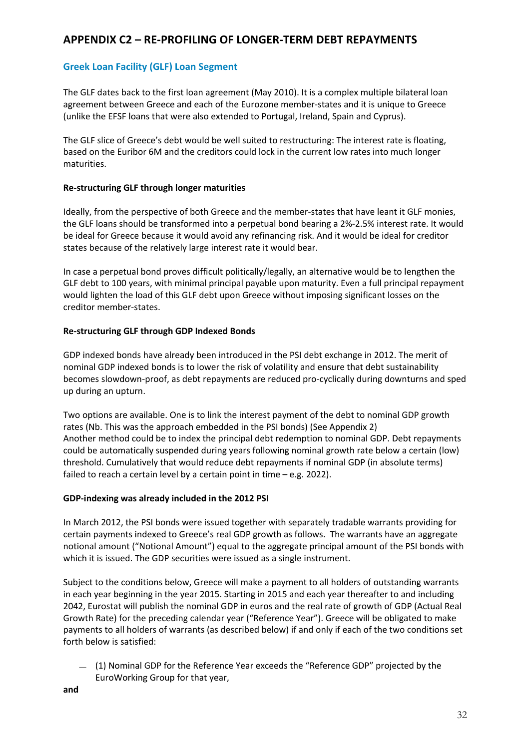## **APPENDIX C2 – RE-PROFILING OF LONGER-TERM DEBT REPAYMENTS**

#### **Greek Loan Facility (GLF) Loan Segment**

The GLF dates back to the first loan agreement (May 2010). It is a complex multiple bilateral loan agreement between Greece and each of the Eurozone member-states and it is unique to Greece (unlike the EFSF loans that were also extended to Portugal, Ireland, Spain and Cyprus).

The GLF slice of Greece's debt would be well suited to restructuring: The interest rate is floating, based on the Euribor 6M and the creditors could lock in the current low rates into much longer maturities.

#### **Re-structuring GLF through longer maturities**

Ideally, from the perspective of both Greece and the member-states that have leant it GLF monies, the GLF loans should be transformed into a perpetual bond bearing a 2%-2.5% interest rate. It would be ideal for Greece because it would avoid any refinancing risk. And it would be ideal for creditor states because of the relatively large interest rate it would bear.

In case a perpetual bond proves difficult politically/legally, an alternative would be to lengthen the GLF debt to 100 years, with minimal principal payable upon maturity. Even a full principal repayment would lighten the load of this GLF debt upon Greece without imposing significant losses on the creditor member-states.

#### **Re-structuring GLF through GDP Indexed Bonds**

GDP indexed bonds have already been introduced in the PSI debt exchange in 2012. The merit of nominal GDP indexed bonds is to lower the risk of volatility and ensure that debt sustainability becomes slowdown-proof, as debt repayments are reduced pro-cyclically during downturns and sped up during an upturn.

Two options are available. One is to link the interest payment of the debt to nominal GDP growth rates (Nb. This was the approach embedded in the PSI bonds) (See Appendix 2) Another method could be to index the principal debt redemption to nominal GDP. Debt repayments could be automatically suspended during years following nominal growth rate below a certain (low) threshold. Cumulatively that would reduce debt repayments if nominal GDP (in absolute terms) failed to reach a certain level by a certain point in time – e.g. 2022).

#### **GDP-indexing was already included in the 2012 PSI**

In March 2012, the PSI bonds were issued together with separately tradable warrants providing for certain payments indexed to Greece's real GDP growth as follows. The warrants have an aggregate notional amount ("Notional Amount") equal to the aggregate principal amount of the PSI bonds with which it is issued. The GDP securities were issued as a single instrument.

Subject to the conditions below, Greece will make a payment to all holders of outstanding warrants in each year beginning in the year 2015. Starting in 2015 and each year thereafter to and including 2042, Eurostat will publish the nominal GDP in euros and the real rate of growth of GDP (Actual Real Growth Rate) for the preceding calendar year ("Reference Year"). Greece will be obligated to make payments to all holders of warrants (as described below) if and only if each of the two conditions set forth below is satisfied:

— (1) Nominal GDP for the Reference Year exceeds the "Reference GDP" projected by the EuroWorking Group for that year,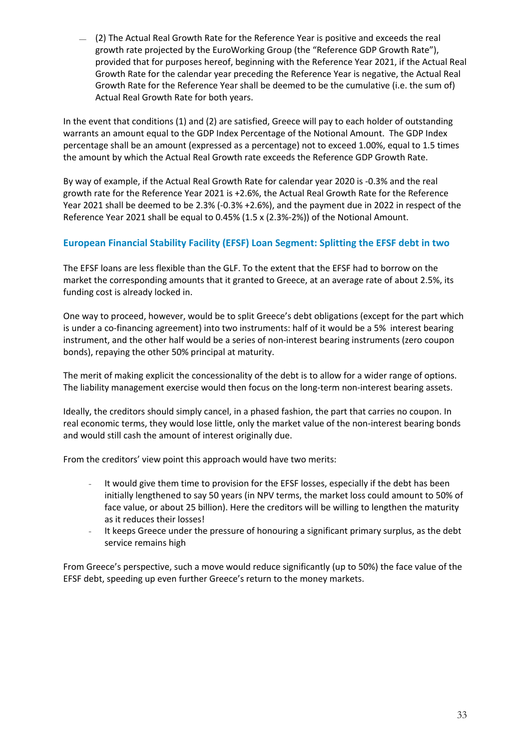— (2) The Actual Real Growth Rate for the Reference Year is positive and exceeds the real growth rate projected by the EuroWorking Group (the "Reference GDP Growth Rate"), provided that for purposes hereof, beginning with the Reference Year 2021, if the Actual Real Growth Rate for the calendar year preceding the Reference Year is negative, the Actual Real Growth Rate for the Reference Year shall be deemed to be the cumulative (i.e. the sum of) Actual Real Growth Rate for both years.

In the event that conditions (1) and (2) are satisfied, Greece will pay to each holder of outstanding warrants an amount equal to the GDP Index Percentage of the Notional Amount. The GDP Index percentage shall be an amount (expressed as a percentage) not to exceed 1.00%, equal to 1.5 times the amount by which the Actual Real Growth rate exceeds the Reference GDP Growth Rate.

By way of example, if the Actual Real Growth Rate for calendar year 2020 is -0.3% and the real growth rate for the Reference Year 2021 is +2.6%, the Actual Real Growth Rate for the Reference Year 2021 shall be deemed to be 2.3% (-0.3% +2.6%), and the payment due in 2022 in respect of the Reference Year 2021 shall be equal to 0.45% (1.5 x (2.3%-2%)) of the Notional Amount.

#### **European Financial Stability Facility (EFSF) Loan Segment: Splitting the EFSF debt in two**

The EFSF loans are less flexible than the GLF. To the extent that the EFSF had to borrow on the market the corresponding amounts that it granted to Greece, at an average rate of about 2.5%, its funding cost is already locked in.

One way to proceed, however, would be to split Greece's debt obligations (except for the part which is under a co-financing agreement) into two instruments: half of it would be a 5% interest bearing instrument, and the other half would be a series of non-interest bearing instruments (zero coupon bonds), repaying the other 50% principal at maturity.

The merit of making explicit the concessionality of the debt is to allow for a wider range of options. The liability management exercise would then focus on the long-term non-interest bearing assets.

Ideally, the creditors should simply cancel, in a phased fashion, the part that carries no coupon. In real economic terms, they would lose little, only the market value of the non-interest bearing bonds and would still cash the amount of interest originally due.

From the creditors' view point this approach would have two merits:

- It would give them time to provision for the EFSF losses, especially if the debt has been initially lengthened to say 50 years (in NPV terms, the market loss could amount to 50% of face value, or about 25 billion). Here the creditors will be willing to lengthen the maturity as it reduces their losses!
- It keeps Greece under the pressure of honouring a significant primary surplus, as the debt service remains high

From Greece's perspective, such a move would reduce significantly (up to 50%) the face value of the EFSF debt, speeding up even further Greece's return to the money markets.